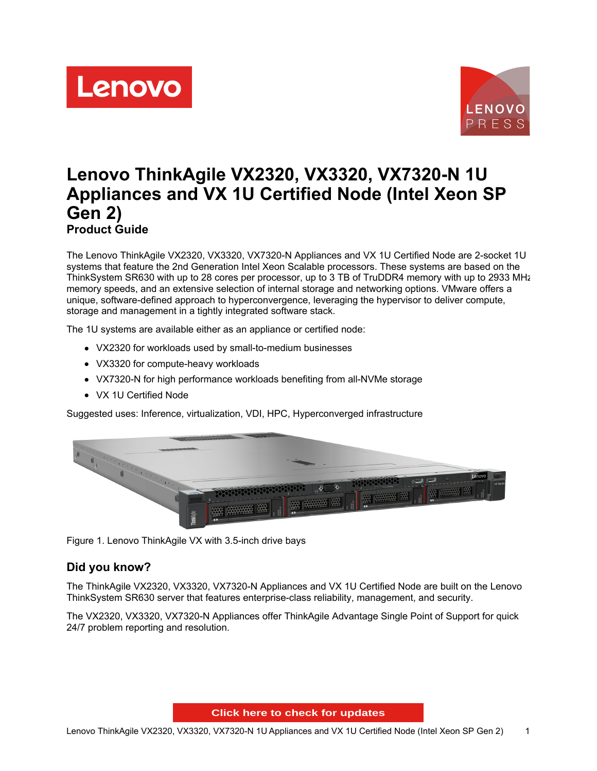



# **Lenovo ThinkAgile VX2320, VX3320, VX7320-N 1U Appliances and VX 1U Certified Node (Intel Xeon SP Gen 2) Product Guide**

The Lenovo ThinkAgile VX2320, VX3320, VX7320-N Appliances and VX 1U Certified Node are 2-socket 1U systems that feature the 2nd Generation Intel Xeon Scalable processors. These systems are based on the ThinkSystem SR630 with up to 28 cores per processor, up to 3 TB of TruDDR4 memory with up to 2933 MHz memory speeds, and an extensive selection of internal storage and networking options. VMware offers a unique, software-defined approach to hyperconvergence, leveraging the hypervisor to deliver compute, storage and management in a tightly integrated software stack.

The 1U systems are available either as an appliance or certified node:

- VX2320 for workloads used by small-to-medium businesses
- VX3320 for compute-heavy workloads
- VX7320-N for high performance workloads benefiting from all-NVMe storage
- VX 1U Certified Node

Suggested uses: Inference, virtualization, VDI, HPC, Hyperconverged infrastructure



Figure 1. Lenovo ThinkAgile VX with 3.5-inch drive bays

## **Did you know?**

The ThinkAgile VX2320, VX3320, VX7320-N Appliances and VX 1U Certified Node are built on the Lenovo ThinkSystem SR630 server that features enterprise-class reliability, management, and security.

The VX2320, VX3320, VX7320-N Appliances offer ThinkAgile Advantage Single Point of Support for quick 24/7 problem reporting and resolution.

**Click here to check for updates**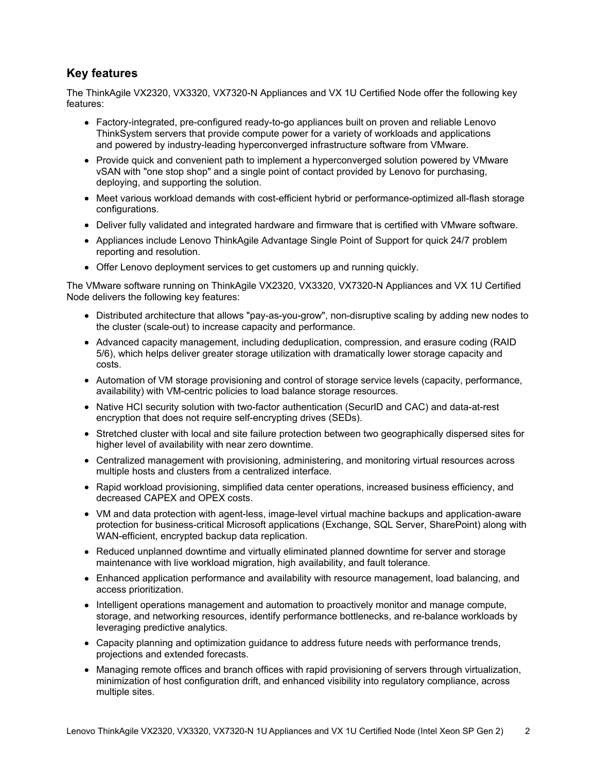## **Key features**

The ThinkAgile VX2320, VX3320, VX7320-N Appliances and VX 1U Certified Node offer the following key features:

- Factory-integrated, pre-configured ready-to-go appliances built on proven and reliable Lenovo ThinkSystem servers that provide compute power for a variety of workloads and applications and powered by industry-leading hyperconverged infrastructure software from VMware.
- Provide quick and convenient path to implement a hyperconverged solution powered by VMware vSAN with "one stop shop" and a single point of contact provided by Lenovo for purchasing, deploying, and supporting the solution.
- Meet various workload demands with cost-efficient hybrid or performance-optimized all-flash storage configurations.
- Deliver fully validated and integrated hardware and firmware that is certified with VMware software.
- Appliances include Lenovo ThinkAgile Advantage Single Point of Support for quick 24/7 problem reporting and resolution.
- Offer Lenovo deployment services to get customers up and running quickly.

The VMware software running on ThinkAgile VX2320, VX3320, VX7320-N Appliances and VX 1U Certified Node delivers the following key features:

- Distributed architecture that allows "pay-as-you-grow", non-disruptive scaling by adding new nodes to the cluster (scale-out) to increase capacity and performance.
- Advanced capacity management, including deduplication, compression, and erasure coding (RAID 5/6), which helps deliver greater storage utilization with dramatically lower storage capacity and costs.
- Automation of VM storage provisioning and control of storage service levels (capacity, performance, availability) with VM-centric policies to load balance storage resources.
- Native HCI security solution with two-factor authentication (SecurID and CAC) and data-at-rest encryption that does not require self-encrypting drives (SEDs).
- Stretched cluster with local and site failure protection between two geographically dispersed sites for higher level of availability with near zero downtime.
- Centralized management with provisioning, administering, and monitoring virtual resources across multiple hosts and clusters from a centralized interface.
- Rapid workload provisioning, simplified data center operations, increased business efficiency, and decreased CAPEX and OPEX costs.
- VM and data protection with agent-less, image-level virtual machine backups and application-aware protection for business-critical Microsoft applications (Exchange, SQL Server, SharePoint) along with WAN-efficient, encrypted backup data replication.
- Reduced unplanned downtime and virtually eliminated planned downtime for server and storage maintenance with live workload migration, high availability, and fault tolerance.
- Enhanced application performance and availability with resource management, load balancing, and access prioritization.
- Intelligent operations management and automation to proactively monitor and manage compute, storage, and networking resources, identify performance bottlenecks, and re-balance workloads by leveraging predictive analytics.
- Capacity planning and optimization guidance to address future needs with performance trends, projections and extended forecasts.
- Managing remote offices and branch offices with rapid provisioning of servers through virtualization, minimization of host configuration drift, and enhanced visibility into regulatory compliance, across multiple sites.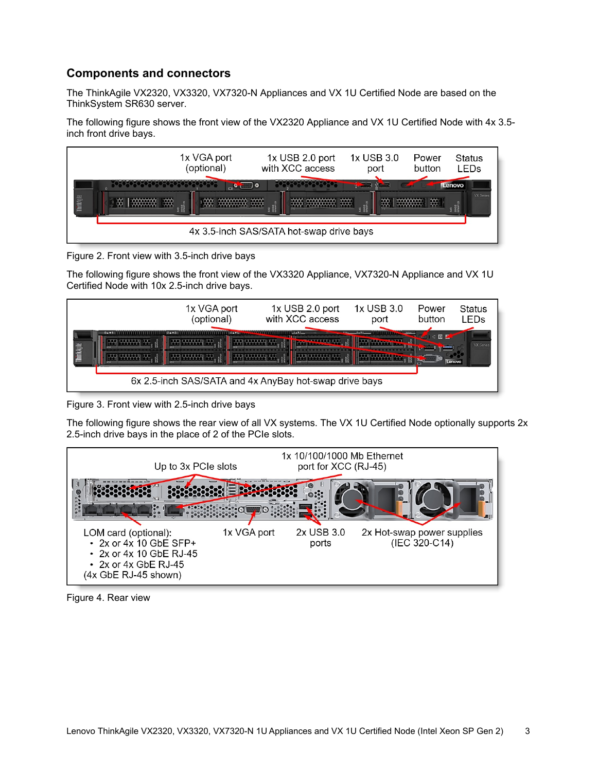## **Components and connectors**

The ThinkAgile VX2320, VX3320, VX7320-N Appliances and VX 1U Certified Node are based on the ThinkSystem SR630 server.

The following figure shows the front view of the VX2320 Appliance and VX 1U Certified Node with 4x 3.5 inch front drive bays.



Figure 2. Front view with 3.5-inch drive bays

The following figure shows the front view of the VX3320 Appliance, VX7320-N Appliance and VX 1U Certified Node with 10x 2.5-inch drive bays.



Figure 3. Front view with 2.5-inch drive bays

The following figure shows the rear view of all VX systems. The VX 1U Certified Node optionally supports 2x 2.5-inch drive bays in the place of 2 of the PCIe slots.



Figure 4. Rear view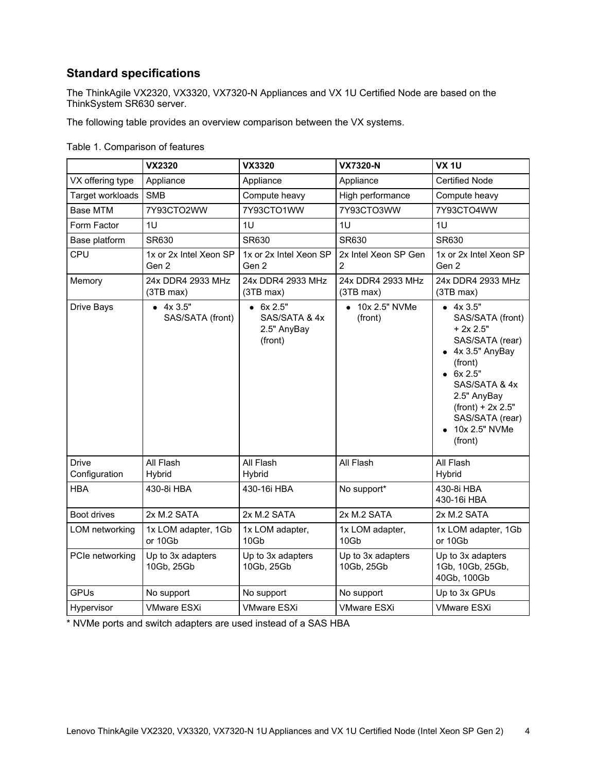## **Standard specifications**

The ThinkAgile VX2320, VX3320, VX7320-N Appliances and VX 1U Certified Node are based on the ThinkSystem SR630 server.

The following table provides an overview comparison between the VX systems.

|                  | <b>VX2320</b>                   | <b>VX3320</b>                                         | <b>VX7320-N</b>                 | <b>VX 1U</b>                                                                                                                                                                                                        |
|------------------|---------------------------------|-------------------------------------------------------|---------------------------------|---------------------------------------------------------------------------------------------------------------------------------------------------------------------------------------------------------------------|
| VX offering type | Appliance                       | Appliance                                             | Appliance                       | <b>Certified Node</b>                                                                                                                                                                                               |
| Target workloads | <b>SMB</b>                      | Compute heavy                                         | High performance                | Compute heavy                                                                                                                                                                                                       |
| <b>Base MTM</b>  | 7Y93CTO2WW                      | 7Y93CTO1WW                                            | 7Y93CTO3WW                      | 7Y93CTO4WW                                                                                                                                                                                                          |
| Form Factor      | 1U                              | 1U                                                    | 1U                              | 1U                                                                                                                                                                                                                  |
| Base platform    | SR630                           | SR630                                                 | SR630                           | SR630                                                                                                                                                                                                               |
| <b>CPU</b>       | 1x or 2x Intel Xeon SP<br>Gen 2 | 1x or 2x Intel Xeon SP<br>Gen 2                       | 2x Intel Xeon SP Gen<br>2       | 1x or 2x Intel Xeon SP<br>Gen 2                                                                                                                                                                                     |
| Memory           | 24x DDR4 2933 MHz<br>(3TB max)  | 24x DDR4 2933 MHz<br>(3TB max)                        | 24x DDR4 2933 MHz<br>(3TB max)  | 24x DDR4 2933 MHz<br>(3TB max)                                                                                                                                                                                      |
| Drive Bays       | 4x3.5"<br>SAS/SATA (front)      | $-6x 2.5"$<br>SAS/SATA & 4x<br>2.5" AnyBay<br>(front) | 10x 2.5" NVMe<br>(front)        | 4x3.5"<br>SAS/SATA (front)<br>$+2x 2.5"$<br>SAS/SATA (rear)<br>$\bullet$ 4x 3.5" AnyBay<br>(front)<br>6x 2.5"<br>SAS/SATA & 4x<br>2.5" AnyBay<br>$(fromt) + 2x 2.5"$<br>SAS/SATA (rear)<br>10x 2.5" NVMe<br>(front) |
| <b>Drive</b>     | All Flash                       | All Flash                                             | All Flash                       | All Flash                                                                                                                                                                                                           |
| Configuration    | Hybrid                          | Hybrid                                                |                                 | Hybrid                                                                                                                                                                                                              |
| HBA              | 430-8i HBA                      | 430-16i HBA                                           | No support*                     | 430-8i HBA<br>430-16i HBA                                                                                                                                                                                           |
| Boot drives      | 2x M.2 SATA                     | 2x M.2 SATA                                           | 2x M.2 SATA                     | 2x M.2 SATA                                                                                                                                                                                                         |
| LOM networking   | 1x LOM adapter, 1Gb<br>or 10Gb  | 1x LOM adapter,<br>10Gb                               | 1x LOM adapter,<br>10Gb         | 1x LOM adapter, 1Gb<br>or 10Gb                                                                                                                                                                                      |
| PCIe networking  | Up to 3x adapters<br>10Gb, 25Gb | Up to 3x adapters<br>10Gb, 25Gb                       | Up to 3x adapters<br>10Gb, 25Gb | Up to 3x adapters<br>1Gb, 10Gb, 25Gb,<br>40Gb, 100Gb                                                                                                                                                                |
| <b>GPUs</b>      | No support                      | No support                                            | No support                      | Up to 3x GPUs                                                                                                                                                                                                       |
| Hypervisor       | <b>VMware ESXi</b>              | <b>VMware ESXi</b>                                    | <b>VMware ESXi</b>              | <b>VMware ESXi</b>                                                                                                                                                                                                  |

\* NVMe ports and switch adapters are used instead of a SAS HBA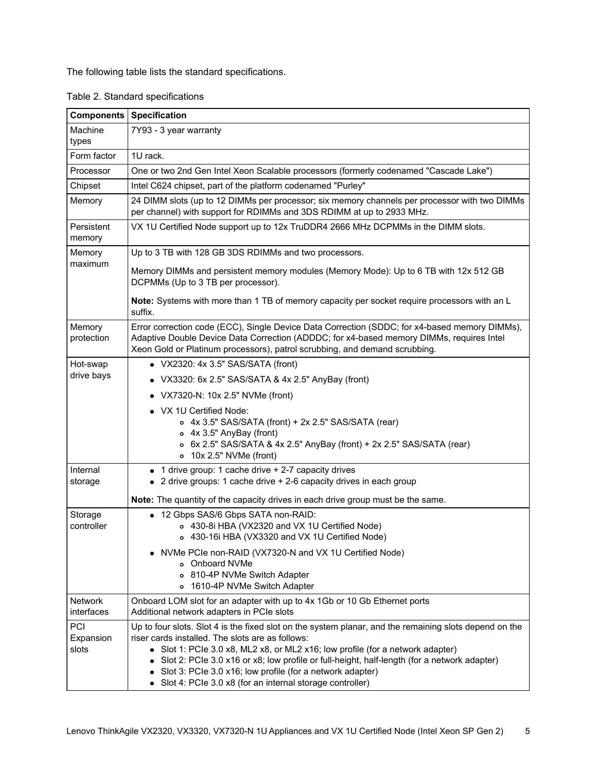The following table lists the standard specifications.

Table 2. Standard specifications

| <b>Components</b>     | <b>Specification</b>                                                                                                                                                                                                                                                    |
|-----------------------|-------------------------------------------------------------------------------------------------------------------------------------------------------------------------------------------------------------------------------------------------------------------------|
| Machine<br>types      | 7Y93 - 3 year warranty                                                                                                                                                                                                                                                  |
| Form factor           | 1U rack.                                                                                                                                                                                                                                                                |
| Processor             | One or two 2nd Gen Intel Xeon Scalable processors (formerly codenamed "Cascade Lake")                                                                                                                                                                                   |
| Chipset               | Intel C624 chipset, part of the platform codenamed "Purley"                                                                                                                                                                                                             |
| Memory                | 24 DIMM slots (up to 12 DIMMs per processor; six memory channels per processor with two DIMMs<br>per channel) with support for RDIMMs and 3DS RDIMM at up to 2933 MHz.                                                                                                  |
| Persistent<br>memory  | VX 1U Certified Node support up to 12x TruDDR4 2666 MHz DCPMMs in the DIMM slots.                                                                                                                                                                                       |
| Memory                | Up to 3 TB with 128 GB 3DS RDIMMs and two processors.                                                                                                                                                                                                                   |
| maximum               | Memory DIMMs and persistent memory modules (Memory Mode): Up to 6 TB with 12x 512 GB<br>DCPMMs (Up to 3 TB per processor).                                                                                                                                              |
|                       | Note: Systems with more than 1 TB of memory capacity per socket require processors with an L<br>suffix.                                                                                                                                                                 |
| Memory<br>protection  | Error correction code (ECC), Single Device Data Correction (SDDC; for x4-based memory DIMMs),<br>Adaptive Double Device Data Correction (ADDDC; for x4-based memory DIMMs, requires Intel<br>Xeon Gold or Platinum processors), patrol scrubbing, and demand scrubbing. |
| Hot-swap              | • VX2320: 4x 3.5" SAS/SATA (front)                                                                                                                                                                                                                                      |
| drive bays            | • VX3320: 6x 2.5" SAS/SATA & 4x 2.5" AnyBay (front)                                                                                                                                                                                                                     |
|                       | VX7320-N: 10x 2.5" NVMe (front)                                                                                                                                                                                                                                         |
|                       | • VX 1U Certified Node:                                                                                                                                                                                                                                                 |
|                       | o 4x 3.5" SAS/SATA (front) + 2x 2.5" SAS/SATA (rear)                                                                                                                                                                                                                    |
|                       | o 4x 3.5" AnyBay (front)<br>o 6x 2.5" SAS/SATA & 4x 2.5" AnyBay (front) + 2x 2.5" SAS/SATA (rear)                                                                                                                                                                       |
|                       | o 10x 2.5" NVMe (front)                                                                                                                                                                                                                                                 |
| Internal              | • 1 drive group: 1 cache drive + 2-7 capacity drives                                                                                                                                                                                                                    |
| storage               | 2 drive groups: 1 cache drive + 2-6 capacity drives in each group                                                                                                                                                                                                       |
|                       | Note: The quantity of the capacity drives in each drive group must be the same.                                                                                                                                                                                         |
| Storage               | • 12 Gbps SAS/6 Gbps SATA non-RAID:                                                                                                                                                                                                                                     |
| controller            | o 430-8i HBA (VX2320 and VX 1U Certified Node)<br>o 430-16i HBA (VX3320 and VX 1U Certified Node)                                                                                                                                                                       |
|                       |                                                                                                                                                                                                                                                                         |
|                       | NVMe PCIe non-RAID (VX7320-N and VX 1U Certified Node)<br>o Onboard NVMe                                                                                                                                                                                                |
|                       | 810-4P NVMe Switch Adapter                                                                                                                                                                                                                                              |
|                       | 1610-4P NVMe Switch Adapter                                                                                                                                                                                                                                             |
| Network<br>interfaces | Onboard LOM slot for an adapter with up to 4x 1Gb or 10 Gb Ethernet ports<br>Additional network adapters in PCIe slots                                                                                                                                                  |
| PCI                   | Up to four slots. Slot 4 is the fixed slot on the system planar, and the remaining slots depend on the                                                                                                                                                                  |
| Expansion<br>slots    | riser cards installed. The slots are as follows:<br>• Slot 1: PCle 3.0 x8, ML2 x8, or ML2 x16; low profile (for a network adapter)                                                                                                                                      |
|                       | Slot 2: PCIe 3.0 x16 or x8; low profile or full-height, half-length (for a network adapter)<br>$\bullet$                                                                                                                                                                |
|                       | Slot 3: PCle 3.0 x16; low profile (for a network adapter)                                                                                                                                                                                                               |
|                       | • Slot 4: PCle 3.0 x8 (for an internal storage controller)                                                                                                                                                                                                              |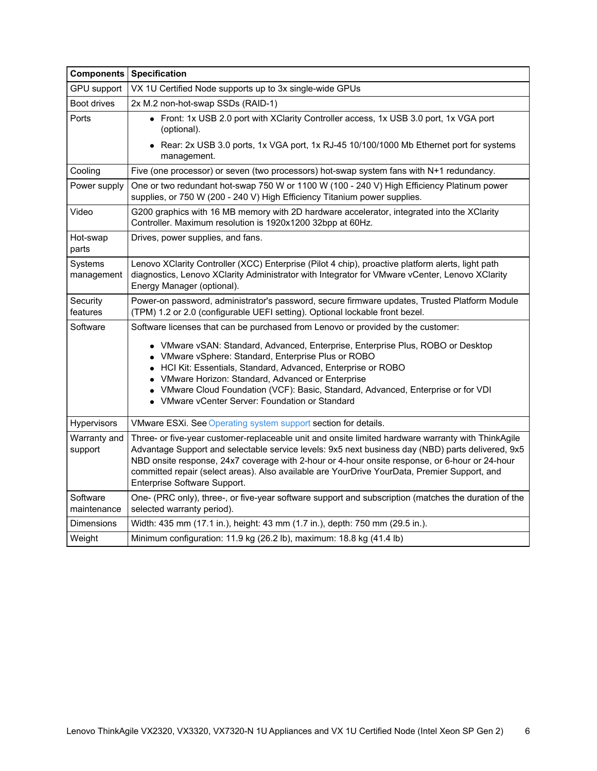|                         | <b>Components Specification</b>                                                                                                                                                                                                                                                                                                                                                                                                           |
|-------------------------|-------------------------------------------------------------------------------------------------------------------------------------------------------------------------------------------------------------------------------------------------------------------------------------------------------------------------------------------------------------------------------------------------------------------------------------------|
| <b>GPU</b> support      | VX 1U Certified Node supports up to 3x single-wide GPUs                                                                                                                                                                                                                                                                                                                                                                                   |
| Boot drives             | 2x M.2 non-hot-swap SSDs (RAID-1)                                                                                                                                                                                                                                                                                                                                                                                                         |
| Ports                   | • Front: 1x USB 2.0 port with XClarity Controller access, 1x USB 3.0 port, 1x VGA port<br>(optional).                                                                                                                                                                                                                                                                                                                                     |
|                         | • Rear: 2x USB 3.0 ports, 1x VGA port, 1x RJ-45 10/100/1000 Mb Ethernet port for systems<br>management.                                                                                                                                                                                                                                                                                                                                   |
| Cooling                 | Five (one processor) or seven (two processors) hot-swap system fans with N+1 redundancy.                                                                                                                                                                                                                                                                                                                                                  |
| Power supply            | One or two redundant hot-swap 750 W or 1100 W (100 - 240 V) High Efficiency Platinum power<br>supplies, or 750 W (200 - 240 V) High Efficiency Titanium power supplies.                                                                                                                                                                                                                                                                   |
| Video                   | G200 graphics with 16 MB memory with 2D hardware accelerator, integrated into the XClarity<br>Controller. Maximum resolution is 1920x1200 32bpp at 60Hz.                                                                                                                                                                                                                                                                                  |
| Hot-swap<br>parts       | Drives, power supplies, and fans.                                                                                                                                                                                                                                                                                                                                                                                                         |
| Systems<br>management   | Lenovo XClarity Controller (XCC) Enterprise (Pilot 4 chip), proactive platform alerts, light path<br>diagnostics, Lenovo XClarity Administrator with Integrator for VMware vCenter, Lenovo XClarity<br>Energy Manager (optional).                                                                                                                                                                                                         |
| Security<br>features    | Power-on password, administrator's password, secure firmware updates, Trusted Platform Module<br>(TPM) 1.2 or 2.0 (configurable UEFI setting). Optional lockable front bezel.                                                                                                                                                                                                                                                             |
| Software                | Software licenses that can be purchased from Lenovo or provided by the customer:                                                                                                                                                                                                                                                                                                                                                          |
|                         | • VMware vSAN: Standard, Advanced, Enterprise, Enterprise Plus, ROBO or Desktop<br>• VMware vSphere: Standard, Enterprise Plus or ROBO<br>• HCI Kit: Essentials, Standard, Advanced, Enterprise or ROBO<br>• VMware Horizon: Standard, Advanced or Enterprise<br>• VMware Cloud Foundation (VCF): Basic, Standard, Advanced, Enterprise or for VDI<br>• VMware vCenter Server: Foundation or Standard                                     |
| Hypervisors             | VMware ESXi. See Operating system support section for details.                                                                                                                                                                                                                                                                                                                                                                            |
| Warranty and<br>support | Three- or five-year customer-replaceable unit and onsite limited hardware warranty with ThinkAgile<br>Advantage Support and selectable service levels: 9x5 next business day (NBD) parts delivered, 9x5<br>NBD onsite response, 24x7 coverage with 2-hour or 4-hour onsite response, or 6-hour or 24-hour<br>committed repair (select areas). Also available are YourDrive YourData, Premier Support, and<br>Enterprise Software Support. |
| Software<br>maintenance | One- (PRC only), three-, or five-year software support and subscription (matches the duration of the<br>selected warranty period).                                                                                                                                                                                                                                                                                                        |
| <b>Dimensions</b>       | Width: 435 mm (17.1 in.), height: 43 mm (1.7 in.), depth: 750 mm (29.5 in.).                                                                                                                                                                                                                                                                                                                                                              |
| Weight                  | Minimum configuration: 11.9 kg (26.2 lb), maximum: 18.8 kg (41.4 lb)                                                                                                                                                                                                                                                                                                                                                                      |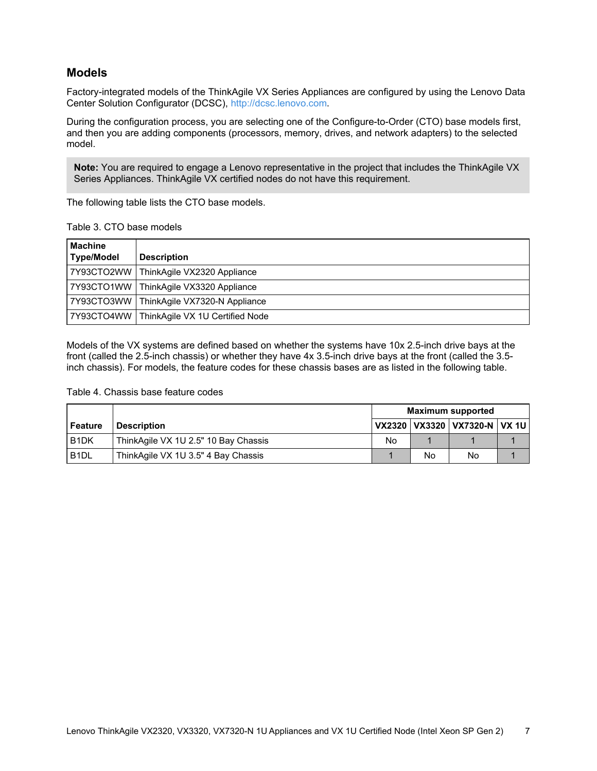### **Models**

Factory-integrated models of the ThinkAgile VX Series Appliances are configured by using the Lenovo Data Center Solution Configurator (DCSC), <http://dcsc.lenovo.com>.

During the configuration process, you are selecting one of the Configure-to-Order (CTO) base models first, and then you are adding components (processors, memory, drives, and network adapters) to the selected model.

**Note:** You are required to engage a Lenovo representative in the project that includes the ThinkAgile VX Series Appliances. ThinkAgile VX certified nodes do not have this requirement.

The following table lists the CTO base models.

| Table 3. CTO base models |  |  |  |
|--------------------------|--|--|--|
|--------------------------|--|--|--|

| l Machine<br>Type/Model | <b>Description</b>                           |
|-------------------------|----------------------------------------------|
|                         | 7Y93CTO2WW ThinkAgile VX2320 Appliance       |
|                         | 7Y93CTO1WW   ThinkAgile VX3320 Appliance     |
|                         | 7Y93CTO3WW   ThinkAgile VX7320-N Appliance   |
|                         | 7Y93CTO4WW   ThinkAgile VX 1U Certified Node |

Models of the VX systems are defined based on whether the systems have 10x 2.5-inch drive bays at the front (called the 2.5-inch chassis) or whether they have 4x 3.5-inch drive bays at the front (called the 3.5 inch chassis). For models, the feature codes for these chassis bases are as listed in the following table.

#### Table 4. Chassis base feature codes

|                               |                                      | <b>Maximum supported</b> |    |                                    |  |  |  |
|-------------------------------|--------------------------------------|--------------------------|----|------------------------------------|--|--|--|
| Feature                       | <b>Description</b>                   |                          |    | VX2320   VX3320   VX7320-N   VX 1U |  |  |  |
| B <sub>1</sub> D <sub>K</sub> | ThinkAgile VX 1U 2.5" 10 Bay Chassis | No                       |    |                                    |  |  |  |
| B <sub>1</sub> DL             | ThinkAgile VX 1U 3.5" 4 Bay Chassis  |                          | No | No                                 |  |  |  |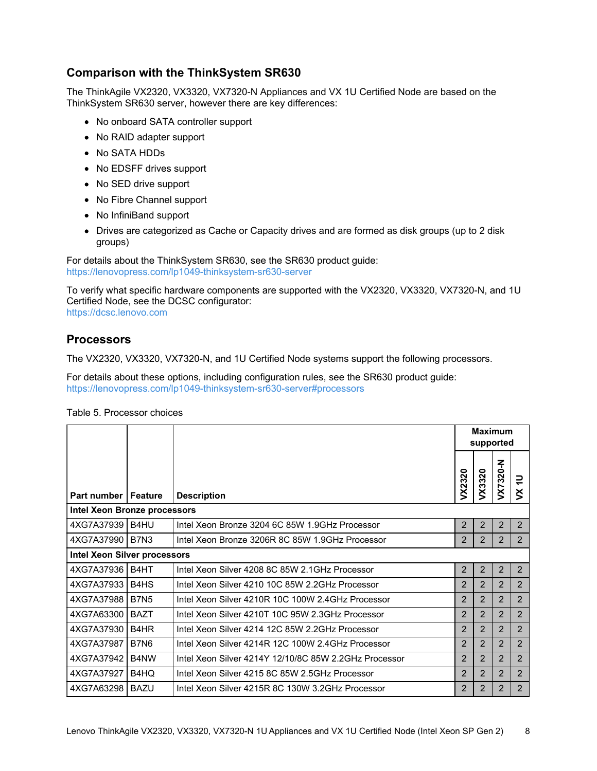## **Comparison with the ThinkSystem SR630**

The ThinkAgile VX2320, VX3320, VX7320-N Appliances and VX 1U Certified Node are based on the ThinkSystem SR630 server, however there are key differences:

- No onboard SATA controller support
- No RAID adapter support
- No SATA HDDs
- No EDSFF drives support
- No SED drive support
- No Fibre Channel support
- No InfiniBand support
- Drives are categorized as Cache or Capacity drives and are formed as disk groups (up to 2 disk groups)

For details about the ThinkSystem SR630, see the SR630 product guide: <https://lenovopress.com/lp1049-thinksystem-sr630-server>

To verify what specific hardware components are supported with the VX2320, VX3320, VX7320-N, and 1U Certified Node, see the DCSC configurator:

<https://dcsc.lenovo.com>

### **Processors**

The VX2320, VX3320, VX7320-N, and 1U Certified Node systems support the following processors.

For details about these options, including configuration rules, see the SR630 product guide: <https://lenovopress.com/lp1049-thinksystem-sr630-server#processors>

|                              |                               |                                                       | <b>Maximum</b><br>supported |                |                |                    |
|------------------------------|-------------------------------|-------------------------------------------------------|-----------------------------|----------------|----------------|--------------------|
| <b>Part number   Feature</b> |                               | <b>Description</b>                                    | VX2320                      | VX3320         | VX7320-N       | ₽<br>$\breve{\le}$ |
| Intel Xeon Bronze processors |                               |                                                       |                             |                |                |                    |
| 4XG7A37939   B4HU            |                               | Intel Xeon Bronze 3204 6C 85W 1.9GHz Processor        | 2                           | $\overline{2}$ | 2              | 2                  |
| 4XG7A37990 B7N3              |                               | Intel Xeon Bronze 3206R 8C 85W 1.9GHz Processor       | 2                           | 2              | 2              | 2                  |
| Intel Xeon Silver processors |                               |                                                       |                             |                |                |                    |
| 4XG7A37936 B4HT              |                               | Intel Xeon Silver 4208 8C 85W 2.1GHz Processor        | 2                           | 2              | 2              | $\overline{2}$     |
| 4XG7A37933                   | B <sub>4</sub> H <sub>S</sub> | Intel Xeon Silver 4210 10C 85W 2.2GHz Processor       | 2                           | 2              | 2              | $\overline{2}$     |
| 4XG7A37988                   | <b>B7N5</b>                   | Intel Xeon Silver 4210R 10C 100W 2.4GHz Processor     | 2                           | 2              | $\overline{2}$ | $\overline{2}$     |
| 4XG7A63300                   | <b>BAZT</b>                   | Intel Xeon Silver 4210T 10C 95W 2.3GHz Processor      | $\overline{2}$              | $\overline{2}$ | 2              | 2                  |
| 4XG7A37930                   | B <sub>4</sub> H <sub>R</sub> | Intel Xeon Silver 4214 12C 85W 2.2GHz Processor       | $\overline{2}$              | 2              | 2              | 2                  |
| 4XG7A37987                   | <b>B7N6</b>                   | Intel Xeon Silver 4214R 12C 100W 2.4GHz Processor     | 2                           | 2              | 2              | $\overline{2}$     |
| 4XG7A37942                   | B4NW                          | Intel Xeon Silver 4214Y 12/10/8C 85W 2.2GHz Processor | 2                           | 2              | 2              | $\overline{2}$     |
| 4XG7A37927                   | B4HQ                          | Intel Xeon Silver 4215 8C 85W 2.5GHz Processor        | 2                           | 2              | 2              | $\overline{2}$     |
| 4XG7A63298   BAZU            |                               | Intel Xeon Silver 4215R 8C 130W 3.2GHz Processor      | $\mathcal{P}$               | $\mathcal{P}$  | $\overline{2}$ | $\overline{2}$     |

Table 5. Processor choices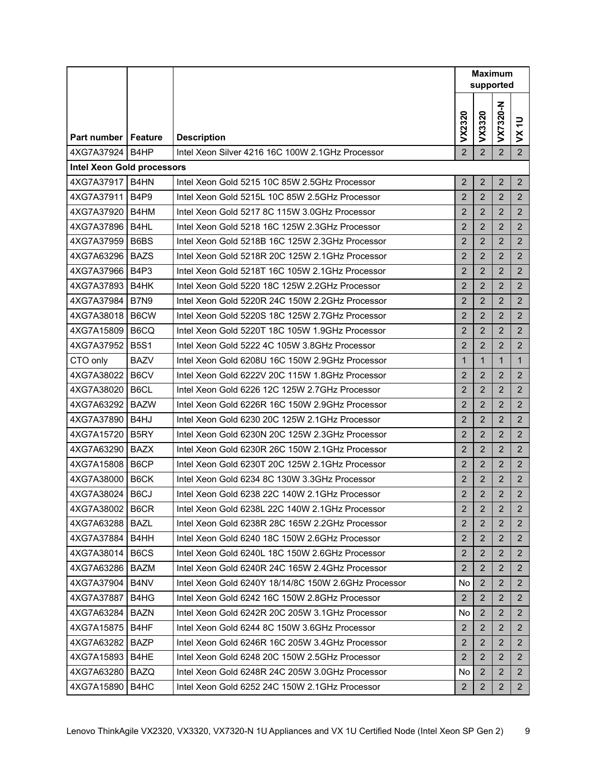|                                                 |                               |                                                      | <b>Maximum</b><br>supported |                |                |                           |
|-------------------------------------------------|-------------------------------|------------------------------------------------------|-----------------------------|----------------|----------------|---------------------------|
|                                                 |                               |                                                      | VX2320                      | VX3320         | VX7320-N       | $\equiv$<br>$\breve{\le}$ |
| <b>Part number I Feature</b>                    |                               | <b>Description</b>                                   |                             |                |                |                           |
| 4XG7A37924<br><b>Intel Xeon Gold processors</b> | B <sub>4</sub> HP             | Intel Xeon Silver 4216 16C 100W 2.1GHz Processor     | $\overline{2}$              | $\overline{2}$ | $\overline{2}$ | $\overline{2}$            |
| 4XG7A37917 B4HN                                 |                               | Intel Xeon Gold 5215 10C 85W 2.5GHz Processor        | $\overline{2}$              | $\overline{2}$ | $\overline{2}$ | $\overline{2}$            |
| 4XG7A37911                                      | B <sub>4P9</sub>              | Intel Xeon Gold 5215L 10C 85W 2.5GHz Processor       | $\overline{2}$              | $\overline{2}$ | $\overline{2}$ | $\overline{2}$            |
| 4XG7A37920 B4HM                                 |                               | Intel Xeon Gold 5217 8C 115W 3.0GHz Processor        | $\overline{2}$              | $\overline{2}$ | $\overline{2}$ | $\overline{2}$            |
| 4XG7A37896   B4HL                               |                               | Intel Xeon Gold 5218 16C 125W 2.3GHz Processor       | $\overline{2}$              | $\overline{2}$ | $\overline{2}$ | $\overline{2}$            |
| 4XG7A37959                                      | B6BS                          | Intel Xeon Gold 5218B 16C 125W 2.3GHz Processor      | $\overline{2}$              | $\overline{2}$ | $\overline{2}$ | $\overline{2}$            |
| 4XG7A63296   BAZS                               |                               | Intel Xeon Gold 5218R 20C 125W 2.1GHz Processor      | $\overline{2}$              | $\overline{2}$ | $\overline{2}$ | $\overline{2}$            |
| 4XG7A37966                                      | B <sub>4</sub> P <sub>3</sub> | Intel Xeon Gold 5218T 16C 105W 2.1GHz Processor      | $\overline{2}$              | $\overline{2}$ | $\overline{2}$ | $\overline{2}$            |
| 4XG7A37893                                      | B4HK                          | Intel Xeon Gold 5220 18C 125W 2.2GHz Processor       | $\overline{2}$              | $\overline{2}$ | $\overline{2}$ | $\overline{2}$            |
| 4XG7A37984                                      | <b>B7N9</b>                   | Intel Xeon Gold 5220R 24C 150W 2.2GHz Processor      | $\overline{2}$              | $\overline{2}$ | $\overline{2}$ | $\overline{2}$            |
| 4XG7A38018                                      | B6CW                          | Intel Xeon Gold 5220S 18C 125W 2.7GHz Processor      | $\overline{2}$              | $\overline{2}$ | $\overline{2}$ | $\overline{2}$            |
| 4XG7A15809                                      | B6CQ                          | Intel Xeon Gold 5220T 18C 105W 1.9GHz Processor      | $\overline{2}$              | $\overline{2}$ | 2              | 2 <sup>1</sup>            |
| 4XG7A37952                                      | <b>B5S1</b>                   | Intel Xeon Gold 5222 4C 105W 3.8GHz Processor        | $\overline{2}$              | $\overline{2}$ | $\overline{2}$ | $\overline{2}$            |
| CTO only                                        | <b>BAZV</b>                   | Intel Xeon Gold 6208U 16C 150W 2.9GHz Processor      | $\mathbf{1}$                | $\mathbf{1}$   | $\mathbf{1}$   | $\mathbf{1}$              |
| 4XG7A38022                                      | B6CV                          | Intel Xeon Gold 6222V 20C 115W 1.8GHz Processor      | $\overline{2}$              | $\overline{2}$ | $\overline{2}$ | $\overline{2}$            |
| 4XG7A38020                                      | B6CL                          | Intel Xeon Gold 6226 12C 125W 2.7GHz Processor       | $\overline{2}$              | $\overline{2}$ | $\overline{2}$ | $\overline{2}$            |
| 4XG7A63292                                      | <b>BAZW</b>                   | Intel Xeon Gold 6226R 16C 150W 2.9GHz Processor      | $\overline{2}$              | $\overline{2}$ | $\overline{2}$ | $\overline{2}$            |
| 4XG7A37890   B4HJ                               |                               | Intel Xeon Gold 6230 20C 125W 2.1GHz Processor       | $\overline{2}$              | $\overline{2}$ | $\overline{2}$ | $\overline{2}$            |
| 4XG7A15720   B5RY                               |                               | Intel Xeon Gold 6230N 20C 125W 2.3GHz Processor      | 2                           | $\overline{2}$ | $\overline{2}$ | $\overline{2}$            |
| 4XG7A63290                                      | <b>BAZX</b>                   | Intel Xeon Gold 6230R 26C 150W 2.1GHz Processor      | $\overline{2}$              | $\overline{2}$ | $\overline{2}$ | $\overline{2}$            |
| 4XG7A15808                                      | B6CP                          | Intel Xeon Gold 6230T 20C 125W 2.1GHz Processor      | $\overline{2}$              | $\overline{2}$ | $\overline{2}$ | $\overline{2}$            |
| 4XG7A38000                                      | B6CK                          | Intel Xeon Gold 6234 8C 130W 3.3GHz Processor        | $\overline{2}$              | $\overline{2}$ | $\overline{2}$ | $\overline{2}$            |
| 4XG7A38024                                      | B6CJ                          | Intel Xeon Gold 6238 22C 140W 2.1GHz Processor       | $\overline{2}$              | $\overline{2}$ | $\overline{2}$ | $\overline{2}$            |
| 4XG7A38002                                      | B6CR                          | Intel Xeon Gold 6238L 22C 140W 2.1GHz Processor      | 2                           | $\overline{2}$ | 2              | 2                         |
| 4XG7A63288   BAZL                               |                               | Intel Xeon Gold 6238R 28C 165W 2.2GHz Processor      | 2                           | $\overline{2}$ | 2              | $\overline{2}$            |
| 4XG7A37884                                      | B4HH                          | Intel Xeon Gold 6240 18C 150W 2.6GHz Processor       | $\overline{2}$              | $\overline{2}$ | $\overline{2}$ | $2^{\circ}$               |
| 4XG7A38014                                      | B6CS                          | Intel Xeon Gold 6240L 18C 150W 2.6GHz Processor      | $\overline{2}$              | $\overline{2}$ | 2              | $\overline{2}$            |
| 4XG7A63286                                      | BAZM                          | Intel Xeon Gold 6240R 24C 165W 2.4GHz Processor      | 2                           | $\overline{2}$ | 2              | $\overline{2}$            |
| 4XG7A37904                                      | B4NV                          | Intel Xeon Gold 6240Y 18/14/8C 150W 2.6GHz Processor | No                          | $\overline{2}$ | 2              | $\overline{2}$            |
| 4XG7A37887                                      | B4HG                          | Intel Xeon Gold 6242 16C 150W 2.8GHz Processor       | 2                           | $\overline{2}$ | $\overline{2}$ | $\overline{2}$            |
| 4XG7A63284                                      | <b>BAZN</b>                   | Intel Xeon Gold 6242R 20C 205W 3.1GHz Processor      | No                          | $\overline{2}$ | $\overline{2}$ | $\overline{2}$            |
| 4XG7A15875                                      | B4HF                          | Intel Xeon Gold 6244 8C 150W 3.6GHz Processor        | 2                           | $\overline{2}$ | $\overline{2}$ | $\overline{2}$            |
| 4XG7A63282                                      | <b>BAZP</b>                   | Intel Xeon Gold 6246R 16C 205W 3.4GHz Processor      | $\overline{2}$              | $\overline{2}$ | $\overline{2}$ | $\overline{2}$            |
| 4XG7A15893                                      | B4HE                          | Intel Xeon Gold 6248 20C 150W 2.5GHz Processor       | 2                           | 2              | 2              | $2^{\circ}$               |
| 4XG7A63280                                      | <b>BAZQ</b>                   | Intel Xeon Gold 6248R 24C 205W 3.0GHz Processor      | No                          | $\overline{2}$ | 2              | 2 <sup>1</sup>            |
| 4XG7A15890                                      | B4HC                          | Intel Xeon Gold 6252 24C 150W 2.1GHz Processor       | $\overline{2}$              | $\overline{2}$ | $\overline{2}$ | $2^{\circ}$               |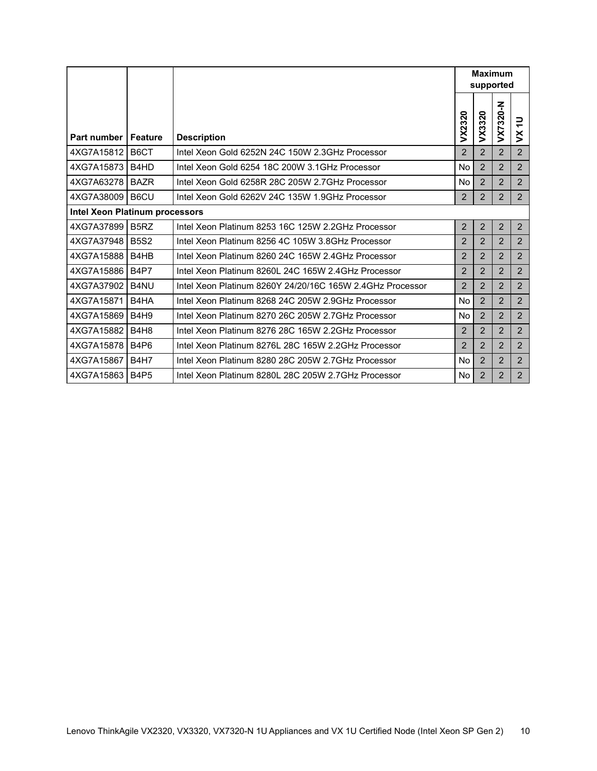|                                |                               |                                                           | <b>Maximum</b><br>supported |                |                |                           |
|--------------------------------|-------------------------------|-----------------------------------------------------------|-----------------------------|----------------|----------------|---------------------------|
| <b>Part number   Feature</b>   |                               | <b>Description</b>                                        | VX2320                      | VX3320         | VX7320-N       | ₽<br>$\breve{\mathsf{S}}$ |
| 4XG7A15812 B6CT                |                               | Intel Xeon Gold 6252N 24C 150W 2.3GHz Processor           | $\overline{2}$              | $\overline{2}$ | 2              | $\overline{2}$            |
| 4XG7A15873 B4HD                |                               | Intel Xeon Gold 6254 18C 200W 3.1GHz Processor            | No                          | 2              | 2              | $\overline{2}$            |
| 4XG7A63278 BAZR                |                               | Intel Xeon Gold 6258R 28C 205W 2.7GHz Processor           | No                          | $\overline{2}$ | $\overline{2}$ | $\overline{2}$            |
| 4XG7A38009   B6CU              |                               | Intel Xeon Gold 6262V 24C 135W 1.9GHz Processor           | 2                           | $\overline{2}$ | 2              | 2                         |
| Intel Xeon Platinum processors |                               |                                                           |                             |                |                |                           |
| 4XG7A37899                     | B <sub>5</sub> RZ             | Intel Xeon Platinum 8253 16C 125W 2.2GHz Processor        | $\overline{2}$              | $\overline{2}$ | 2              | $\overline{2}$            |
| 4XG7A37948 B5S2                |                               | Intel Xeon Platinum 8256 4C 105W 3.8GHz Processor         | 2                           | 2              | 2              | $\overline{2}$            |
| 4XG7A15888                     | B4HB                          | Intel Xeon Platinum 8260 24C 165W 2.4GHz Processor        | 2                           | $\overline{2}$ | 2              | $\overline{2}$            |
| 4XG7A15886   B4P7              |                               | Intel Xeon Platinum 8260L 24C 165W 2.4GHz Processor       | 2                           | $\overline{2}$ | $\overline{2}$ | 2                         |
| 4XG7A37902                     | B <sub>4</sub> NU             | Intel Xeon Platinum 8260Y 24/20/16C 165W 2.4GHz Processor | $\overline{2}$              | $\overline{2}$ | 2              | $\overline{2}$            |
| 4XG7A15871                     | B4HA                          | Intel Xeon Platinum 8268 24C 205W 2.9GHz Processor        | No                          | 2              | 2              | 2                         |
| 4XG7A15869                     | <b>B4H9</b>                   | Intel Xeon Platinum 8270 26C 205W 2.7GHz Processor        | No                          | 2              | 2              | $\overline{2}$            |
| 4XG7A15882                     | B <sub>4</sub> H <sub>8</sub> | Intel Xeon Platinum 8276 28C 165W 2.2GHz Processor        | 2                           | 2              | 2              | $\overline{2}$            |
| 4XG7A15878                     | <b>B4P6</b>                   | Intel Xeon Platinum 8276L 28C 165W 2.2GHz Processor       | $\overline{2}$              | $\overline{2}$ | 2              | $\overline{2}$            |
| 4XG7A15867                     | <b>B4H7</b>                   | Intel Xeon Platinum 8280 28C 205W 2.7GHz Processor        | <b>No</b>                   | $\overline{2}$ | 2              | 2                         |
| 4XG7A15863                     | <b>B4P5</b>                   | Intel Xeon Platinum 8280L 28C 205W 2.7GHz Processor       | No.                         | $\overline{2}$ | $\overline{2}$ | $\overline{2}$            |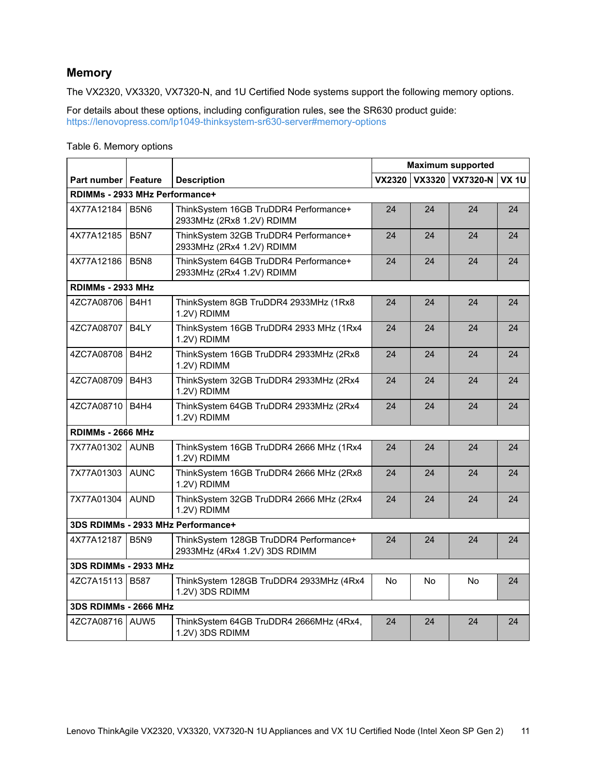## **Memory**

The VX2320, VX3320, VX7320-N, and 1U Certified Node systems support the following memory options.

For details about these options, including configuration rules, see the SR630 product guide: <https://lenovopress.com/lp1049-thinksystem-sr630-server#memory-options>

|                                |                               |                                                                         |               | <b>Maximum supported</b> |                 |              |  |  |
|--------------------------------|-------------------------------|-------------------------------------------------------------------------|---------------|--------------------------|-----------------|--------------|--|--|
| <b>Part number   Feature</b>   |                               | <b>Description</b>                                                      | <b>VX2320</b> | <b>VX3320</b>            | <b>VX7320-N</b> | <b>VX 1U</b> |  |  |
| RDIMMs - 2933 MHz Performance+ |                               |                                                                         |               |                          |                 |              |  |  |
| 4X77A12184                     | <b>B5N6</b>                   | ThinkSystem 16GB TruDDR4 Performance+<br>2933MHz (2Rx8 1.2V) RDIMM      | 24            | 24                       | 24              | 24           |  |  |
| 4X77A12185                     | <b>B5N7</b>                   | ThinkSystem 32GB TruDDR4 Performance+<br>2933MHz (2Rx4 1.2V) RDIMM      | 24            | 24                       | 24              | 24           |  |  |
| 4X77A12186                     | <b>B5N8</b>                   | ThinkSystem 64GB TruDDR4 Performance+<br>2933MHz (2Rx4 1.2V) RDIMM      | 24            | 24                       | 24              | 24           |  |  |
| RDIMMs - 2933 MHz              |                               |                                                                         |               |                          |                 |              |  |  |
| 4ZC7A08706 B4H1                |                               | ThinkSystem 8GB TruDDR4 2933MHz (1Rx8<br>1.2V) RDIMM                    | 24            | 24                       | 24              | 24           |  |  |
| 4ZC7A08707                     | B4LY                          | ThinkSystem 16GB TruDDR4 2933 MHz (1Rx4<br>1.2V) RDIMM                  | 24            | 24                       | 24              | 24           |  |  |
| 4ZC7A08708                     | <b>B4H2</b>                   | ThinkSystem 16GB TruDDR4 2933MHz (2Rx8<br>1.2V) RDIMM                   | 24            | 24                       | 24              | 24           |  |  |
| 4ZC7A08709                     | B <sub>4</sub> H <sub>3</sub> | ThinkSystem 32GB TruDDR4 2933MHz (2Rx4<br>1.2V) RDIMM                   | 24            | 24                       | 24              | 24           |  |  |
| 4ZC7A08710                     | <b>B4H4</b>                   | ThinkSystem 64GB TruDDR4 2933MHz (2Rx4<br>1.2V) RDIMM                   | 24            | 24                       | 24              | 24           |  |  |
| RDIMMs - 2666 MHz              |                               |                                                                         |               |                          |                 |              |  |  |
| 7X77A01302 LAUNB               |                               | ThinkSystem 16GB TruDDR4 2666 MHz (1Rx4<br>1.2V) RDIMM                  | 24            | 24                       | 24              | 24           |  |  |
| 7X77A01303                     | <b>AUNC</b>                   | ThinkSystem 16GB TruDDR4 2666 MHz (2Rx8<br>1.2V) RDIMM                  | 24            | 24                       | 24              | 24           |  |  |
| 7X77A01304                     | <b>AUND</b>                   | ThinkSystem 32GB TruDDR4 2666 MHz (2Rx4<br>1.2V) RDIMM                  | 24            | 24                       | 24              | 24           |  |  |
|                                |                               | 3DS RDIMMs - 2933 MHz Performance+                                      |               |                          |                 |              |  |  |
| 4X77A12187                     | <b>B5N9</b>                   | ThinkSystem 128GB TruDDR4 Performance+<br>2933MHz (4Rx4 1.2V) 3DS RDIMM | 24            | 24                       | 24              | 24           |  |  |
| 3DS RDIMMs - 2933 MHz          |                               |                                                                         |               |                          |                 |              |  |  |
| 4ZC7A15113 B587                |                               | ThinkSystem 128GB TruDDR4 2933MHz (4Rx4<br>1.2V) 3DS RDIMM              | <b>No</b>     | No.                      | <b>No</b>       | 24           |  |  |
| 3DS RDIMMs - 2666 MHz          |                               |                                                                         |               |                          |                 |              |  |  |
| 4ZC7A08716 AUW5                |                               | ThinkSystem 64GB TruDDR4 2666MHz (4Rx4,<br>1.2V) 3DS RDIMM              | 24            | 24                       | 24              | 24           |  |  |

#### Table 6. Memory options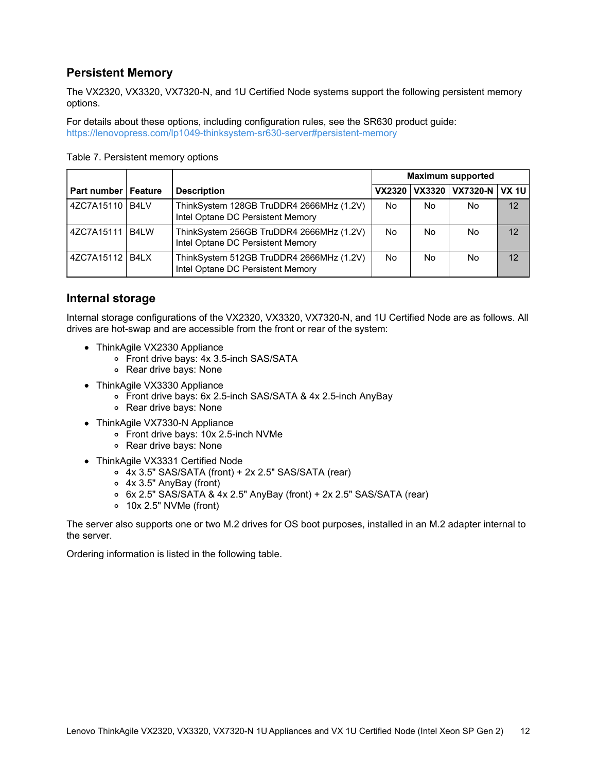## **Persistent Memory**

The VX2320, VX3320, VX7320-N, and 1U Certified Node systems support the following persistent memory options.

For details about these options, including configuration rules, see the SR630 product guide: <https://lenovopress.com/lp1049-thinksystem-sr630-server#persistent-memory>

|                              |      |                                                                               | <b>Maximum supported</b>                            |    |     |    |  |
|------------------------------|------|-------------------------------------------------------------------------------|-----------------------------------------------------|----|-----|----|--|
| <b>Part number   Feature</b> |      | <b>Description</b>                                                            | <b>VX7320-N</b><br>VX3320<br><b>VX 1U</b><br>VX2320 |    |     |    |  |
| 4ZC7A15110 B4LV              |      | ThinkSystem 128GB TruDDR4 2666MHz (1.2V)<br>Intel Optane DC Persistent Memory | No                                                  | No | No. | 12 |  |
| 4ZC7A15111                   | B4LW | ThinkSystem 256GB TruDDR4 2666MHz (1.2V)<br>Intel Optane DC Persistent Memory | No.                                                 | No | No. | 12 |  |
| 4ZC7A15112 B4LX              |      | ThinkSystem 512GB TruDDR4 2666MHz (1.2V)<br>Intel Optane DC Persistent Memory | No.                                                 | No | No. | 12 |  |

#### Table 7. Persistent memory options

### **Internal storage**

Internal storage configurations of the VX2320, VX3320, VX7320-N, and 1U Certified Node are as follows. All drives are hot-swap and are accessible from the front or rear of the system:

- ThinkAgile VX2330 Appliance
	- Front drive bays: 4x 3.5-inch SAS/SATA
	- Rear drive bays: None
- ThinkAgile VX3330 Appliance
	- Front drive bays: 6x 2.5-inch SAS/SATA & 4x 2.5-inch AnyBay
	- Rear drive bays: None
- ThinkAgile VX7330-N Appliance
	- Front drive bays: 10x 2.5-inch NVMe
	- Rear drive bays: None
- ThinkAgile VX3331 Certified Node
	- 4x 3.5" SAS/SATA (front) + 2x 2.5" SAS/SATA (rear)
	- 4x 3.5" AnyBay (front)
	- 6x 2.5" SAS/SATA & 4x 2.5" AnyBay (front) + 2x 2.5" SAS/SATA (rear)
	- 10x 2.5" NVMe (front)

The server also supports one or two M.2 drives for OS boot purposes, installed in an M.2 adapter internal to the server.

Ordering information is listed in the following table.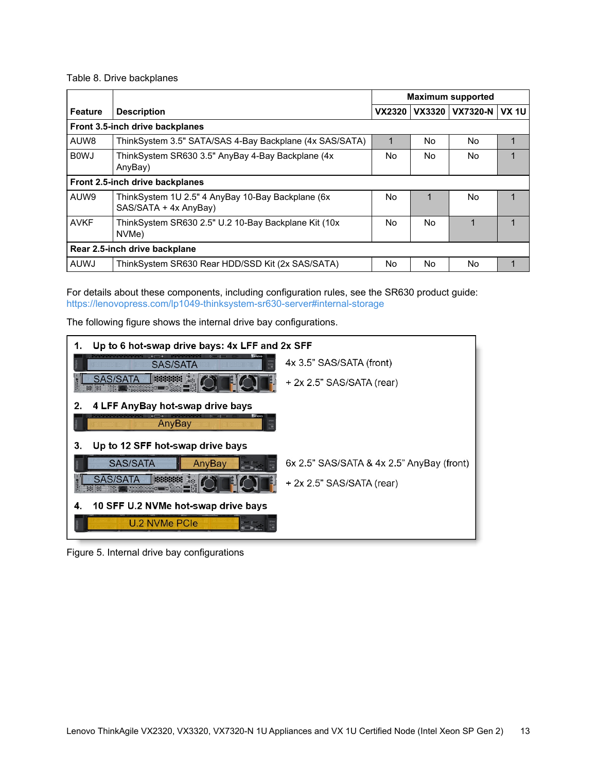#### Table 8. Drive backplanes

|                   |                                                                            | <b>Maximum supported</b> |        |                |  |  |
|-------------------|----------------------------------------------------------------------------|--------------------------|--------|----------------|--|--|
| Feature           | <b>Description</b>                                                         | <b>VX2320</b>            | VX3320 | VX7320-N VX 1U |  |  |
|                   | Front 3.5-inch drive backplanes                                            |                          |        |                |  |  |
| AUW8              | ThinkSystem 3.5" SATA/SAS 4-Bay Backplane (4x SAS/SATA)                    |                          | No     | No.            |  |  |
| B <sub>0</sub> MJ | ThinkSystem SR630 3.5" AnyBay 4-Bay Backplane (4x<br>AnyBay)               | No.                      | No.    | No.            |  |  |
|                   | Front 2.5-inch drive backplanes                                            |                          |        |                |  |  |
| AUW9              | ThinkSystem 1U 2.5" 4 AnyBay 10-Bay Backplane (6x<br>SAS/SATA + 4x AnyBay) | No.                      |        | No             |  |  |
| <b>AVKF</b>       | ThinkSystem SR630 2.5" U.2 10-Bay Backplane Kit (10x<br>NVMe)              | No.                      | No     |                |  |  |
|                   | Rear 2.5-inch drive backplane                                              |                          |        |                |  |  |
| <b>AUWJ</b>       | ThinkSystem SR630 Rear HDD/SSD Kit (2x SAS/SATA)                           | No                       | No     | No             |  |  |

For details about these components, including configuration rules, see the SR630 product guide: <https://lenovopress.com/lp1049-thinksystem-sr630-server#internal-storage>

The following figure shows the internal drive bay configurations.



Figure 5. Internal drive bay configurations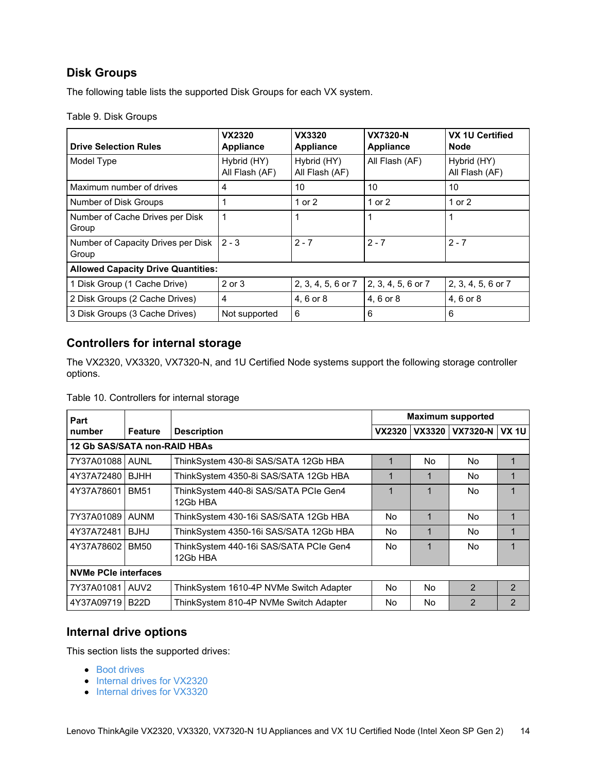## **Disk Groups**

The following table lists the supported Disk Groups for each VX system.

|  | Table 9. Disk Groups |
|--|----------------------|
|  |                      |

| <b>Drive Selection Rules</b>                | <b>VX2320</b><br><b>Appliance</b> | VX3320<br><b>Appliance</b>    | <b>VX7320-N</b><br><b>Appliance</b> | <b>VX 1U Certified</b><br><b>Node</b> |
|---------------------------------------------|-----------------------------------|-------------------------------|-------------------------------------|---------------------------------------|
| Model Type                                  | Hybrid (HY)<br>All Flash (AF)     | Hybrid (HY)<br>All Flash (AF) | All Flash (AF)                      | Hybrid (HY)<br>All Flash (AF)         |
| Maximum number of drives                    | 4                                 | 10                            | 10                                  | 10                                    |
| Number of Disk Groups                       |                                   | 1 or 2                        | 1 or 2                              | 1 or 2                                |
| Number of Cache Drives per Disk<br>Group    | 1                                 |                               |                                     |                                       |
| Number of Capacity Drives per Disk<br>Group | $2 - 3$                           | $2 - 7$                       | $2 - 7$                             | $2 - 7$                               |
| <b>Allowed Capacity Drive Quantities:</b>   |                                   |                               |                                     |                                       |
| 1 Disk Group (1 Cache Drive)                | 2 or 3                            | 2, 3, 4, 5, 6 or 7            | 2, 3, 4, 5, 6 or 7                  | 2, 3, 4, 5, 6 or 7                    |
| 2 Disk Groups (2 Cache Drives)              | 4                                 | 4, 6 or 8                     | 4, 6 or 8                           | 4, 6 or 8                             |
| 3 Disk Groups (3 Cache Drives)              | Not supported                     | 6                             | 6                                   | 6                                     |

## **Controllers for internal storage**

The VX2320, VX3320, VX7320-N, and 1U Certified Node systems support the following storage controller options.

### Table 10. Controllers for internal storage

| Part                        |                              |                                                    | <b>Maximum supported</b> |               |                 |              |  |  |  |
|-----------------------------|------------------------------|----------------------------------------------------|--------------------------|---------------|-----------------|--------------|--|--|--|
| number                      | <b>Feature</b>               | <b>Description</b>                                 | VX2320                   | <b>VX3320</b> | <b>VX7320-N</b> | <b>VX 1U</b> |  |  |  |
|                             | 12 Gb SAS/SATA non-RAID HBAs |                                                    |                          |               |                 |              |  |  |  |
| 7Y37A01088   AUNL           |                              | ThinkSystem 430-8i SAS/SATA 12Gb HBA               | 1                        | No            | No              |              |  |  |  |
| 4Y37A72480                  | BJHH                         | ThinkSystem 4350-8i SAS/SATA 12Gb HBA              | 1                        | 1             | No              |              |  |  |  |
| 4Y37A78601                  | <b>BM51</b>                  | ThinkSystem 440-8i SAS/SATA PCIe Gen4<br>12Gb HBA  | 1                        | 1             | No              |              |  |  |  |
| 7Y37A01089                  | AUNM                         | ThinkSystem 430-16i SAS/SATA 12Gb HBA              | No                       | 1             | No              |              |  |  |  |
| 4Y37A72481                  | <b>BJHJ</b>                  | ThinkSystem 4350-16i SAS/SATA 12Gb HBA             | No                       | 1             | No              |              |  |  |  |
| 4Y37A78602                  | BM50                         | ThinkSystem 440-16i SAS/SATA PCIe Gen4<br>12Gb HBA | No                       | 1             | No              |              |  |  |  |
| <b>NVMe PCIe interfaces</b> |                              |                                                    |                          |               |                 |              |  |  |  |
| 7Y37A01081                  | LAUV <sub>2</sub>            | ThinkSystem 1610-4P NVMe Switch Adapter            | No                       | No            | $\mathfrak{p}$  | 2            |  |  |  |
| 4Y37A09719                  | <b>B22D</b>                  | ThinkSystem 810-4P NVMe Switch Adapter             | No                       | No            | $\mathfrak{p}$  | 2            |  |  |  |

### **Internal drive options**

This section lists the supported drives:

- Boot [drives](#page-14-0)
- Internal drives for [VX2320](#page-14-1)
- Internal drives for [VX3320](#page-16-0)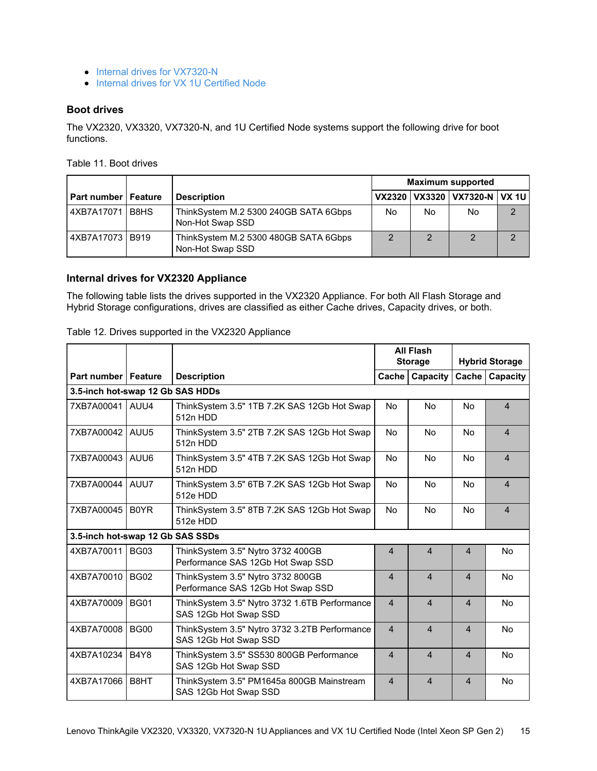- Internal drives for [VX7320-N](#page-19-0)
- Internal drives for VX 1U [Certified](#page-20-0) Node

### <span id="page-14-0"></span>**Boot drives**

The VX2320, VX3320, VX7320-N, and 1U Certified Node systems support the following drive for boot functions.

Table 11. Boot drives

|                              |                                                           |                |    | <b>Maximum supported</b>           |          |
|------------------------------|-----------------------------------------------------------|----------------|----|------------------------------------|----------|
| <b>Part number   Feature</b> | <b>Description</b>                                        |                |    | VX2320   VX3320   VX7320-N   VX 1U |          |
| 4XB7A17071 B8HS              | ThinkSystem M.2 5300 240GB SATA 6Gbps<br>Non-Hot Swap SSD | No             | No | No                                 | C        |
| 4XB7A17073 B919              | ThinkSystem M.2 5300 480GB SATA 6Gbps<br>Non-Hot Swap SSD | $\overline{2}$ |    |                                    | $\Omega$ |

### <span id="page-14-1"></span>**Internal drives for VX2320 Appliance**

The following table lists the drives supported in the VX2320 Appliance. For both All Flash Storage and Hybrid Storage configurations, drives are classified as either Cache drives, Capacity drives, or both.

### Table 12. Drives supported in the VX2320 Appliance

|                                  |             |                                                                        |                | <b>All Flash</b><br><b>Storage</b> |                | <b>Hybrid Storage</b> |
|----------------------------------|-------------|------------------------------------------------------------------------|----------------|------------------------------------|----------------|-----------------------|
| <b>Part number   Feature</b>     |             | <b>Description</b>                                                     | Cache I        | Capacity                           | Cache          | Capacity              |
| 3.5-inch hot-swap 12 Gb SAS HDDs |             |                                                                        |                |                                    |                |                       |
| 7XB7A00041   AUU4                |             | ThinkSystem 3.5" 1TB 7.2K SAS 12Gb Hot Swap<br>512n HDD                | No             | <b>No</b>                          | <b>No</b>      | $\overline{4}$        |
| 7XB7A00042   AUU5                |             | ThinkSystem 3.5" 2TB 7.2K SAS 12Gb Hot Swap<br>512n HDD                | No             | <b>No</b>                          | No             | $\overline{4}$        |
| 7XB7A00043                       | AUU6        | ThinkSystem 3.5" 4TB 7.2K SAS 12Gb Hot Swap<br>512n HDD                | <b>No</b>      | <b>No</b>                          | <b>No</b>      | $\overline{4}$        |
| 7XB7A00044   AUU7                |             | ThinkSystem 3.5" 6TB 7.2K SAS 12Gb Hot Swap<br>512e HDD                | No             | <b>No</b>                          | <b>No</b>      | $\overline{4}$        |
| 7XB7A00045 B0YR                  |             | ThinkSystem 3.5" 8TB 7.2K SAS 12Gb Hot Swap<br>512e HDD                | <b>No</b>      | <b>No</b>                          | <b>No</b>      | $\overline{4}$        |
| 3.5-inch hot-swap 12 Gb SAS SSDs |             |                                                                        |                |                                    |                |                       |
| 4XB7A70011 BG03                  |             | ThinkSystem 3.5" Nytro 3732 400GB<br>Performance SAS 12Gb Hot Swap SSD | $\overline{4}$ | $\overline{4}$                     | $\overline{4}$ | <b>No</b>             |
| 4XB7A70010                       | <b>BG02</b> | ThinkSystem 3.5" Nytro 3732 800GB<br>Performance SAS 12Gb Hot Swap SSD | $\overline{4}$ | $\overline{4}$                     | $\overline{4}$ | <b>No</b>             |
| 4XB7A70009                       | <b>BG01</b> | ThinkSystem 3.5" Nytro 3732 1.6TB Performance<br>SAS 12Gb Hot Swap SSD | $\overline{4}$ | $\overline{4}$                     | $\overline{4}$ | <b>No</b>             |
| 4XB7A70008                       | <b>BG00</b> | ThinkSystem 3.5" Nytro 3732 3.2TB Performance<br>SAS 12Gb Hot Swap SSD | $\overline{4}$ | $\overline{4}$                     | $\overline{4}$ | <b>No</b>             |
| 4XB7A10234                       | B4Y8        | ThinkSystem 3.5" SS530 800GB Performance<br>SAS 12Gb Hot Swap SSD      | $\overline{4}$ | $\overline{4}$                     | $\overline{4}$ | <b>No</b>             |
| 4XB7A17066                       | B8HT        | ThinkSystem 3.5" PM1645a 800GB Mainstream<br>SAS 12Gb Hot Swap SSD     | $\overline{4}$ | $\overline{4}$                     | $\overline{4}$ | <b>No</b>             |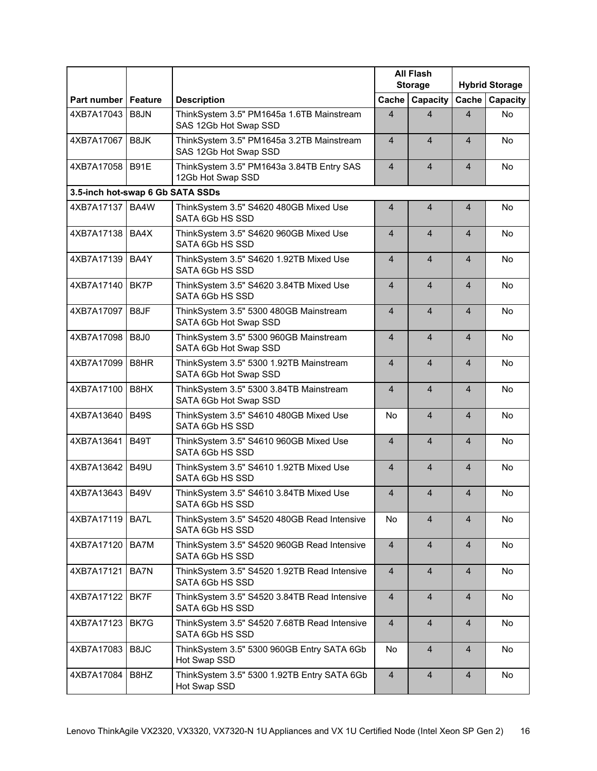|                                  |             |                                                                    |                         | <b>All Flash</b><br><b>Storage</b> |                          | <b>Hybrid Storage</b> |
|----------------------------------|-------------|--------------------------------------------------------------------|-------------------------|------------------------------------|--------------------------|-----------------------|
| Part number   Feature            |             | <b>Description</b>                                                 | Cache                   | Capacity                           | Cache                    | Capacity              |
| 4XB7A17043                       | B8JN        | ThinkSystem 3.5" PM1645a 1.6TB Mainstream<br>SAS 12Gb Hot Swap SSD | $\overline{4}$          | $\overline{4}$                     | 4                        | <b>No</b>             |
| 4XB7A17067                       | B8JK        | ThinkSystem 3.5" PM1645a 3.2TB Mainstream<br>SAS 12Gb Hot Swap SSD | $\overline{4}$          | $\overline{4}$                     | $\overline{\mathcal{A}}$ | <b>No</b>             |
| 4XB7A17058   B91E                |             | ThinkSystem 3.5" PM1643a 3.84TB Entry SAS<br>12Gb Hot Swap SSD     | $\overline{4}$          | $\overline{4}$                     | 4                        | <b>No</b>             |
| 3.5-inch hot-swap 6 Gb SATA SSDs |             |                                                                    |                         |                                    |                          |                       |
| 4XB7A17137                       | BA4W        | ThinkSystem 3.5" S4620 480GB Mixed Use<br>SATA 6Gb HS SSD          | $\overline{4}$          | 4                                  | 4                        | No.                   |
| 4XB7A17138 BA4X                  |             | ThinkSystem 3.5" S4620 960GB Mixed Use<br>SATA 6Gb HS SSD          | $\overline{4}$          | $\overline{4}$                     | $\overline{4}$           | <b>No</b>             |
| 4XB7A17139                       | BA4Y        | ThinkSystem 3.5" S4620 1.92TB Mixed Use<br>SATA 6Gb HS SSD         | $\overline{4}$          | $\overline{4}$                     | $\overline{\mathbf{4}}$  | No                    |
| 4XB7A17140                       | BK7P        | ThinkSystem 3.5" S4620 3.84TB Mixed Use<br>SATA 6Gb HS SSD         | $\overline{4}$          | $\overline{4}$                     | $\overline{\mathbf{4}}$  | No                    |
| 4XB7A17097                       | B8JF        | ThinkSystem 3.5" 5300 480GB Mainstream<br>SATA 6Gb Hot Swap SSD    | $\overline{4}$          | $\overline{4}$                     | 4                        | <b>No</b>             |
| 4XB7A17098                       | <b>B8J0</b> | ThinkSystem 3.5" 5300 960GB Mainstream<br>SATA 6Gb Hot Swap SSD    | $\overline{4}$          | $\overline{4}$                     | 4                        | <b>No</b>             |
| 4XB7A17099                       | B8HR        | ThinkSystem 3.5" 5300 1.92TB Mainstream<br>SATA 6Gb Hot Swap SSD   | $\overline{4}$          | $\overline{4}$                     | $\overline{\mathbf{4}}$  | <b>No</b>             |
| 4XB7A17100                       | B8HX        | ThinkSystem 3.5" 5300 3.84TB Mainstream<br>SATA 6Gb Hot Swap SSD   | $\overline{4}$          | $\overline{4}$                     | 4                        | No                    |
| 4XB7A13640                       | <b>B49S</b> | ThinkSystem 3.5" S4610 480GB Mixed Use<br>SATA 6Gb HS SSD          | No                      | $\overline{4}$                     | 4                        | <b>No</b>             |
| 4XB7A13641                       | <b>B49T</b> | ThinkSystem 3.5" S4610 960GB Mixed Use<br>SATA 6Gb HS SSD          | $\overline{4}$          | $\overline{4}$                     | 4                        | <b>No</b>             |
| 4XB7A13642                       | <b>B49U</b> | ThinkSystem 3.5" S4610 1.92TB Mixed Use<br>SATA 6Gb HS SSD         | $\overline{4}$          | $\overline{4}$                     | $\overline{4}$           | <b>No</b>             |
| 4XB7A13643   B49V                |             | ThinkSystem 3.5" S4610 3.84TB Mixed Use<br>SATA 6Gb HS SSD         | $\overline{4}$          | $\overline{4}$                     | 4                        | No                    |
| 4XB7A17119   BA7L                |             | ThinkSystem 3.5" S4520 480GB Read Intensive<br>SATA 6Gb HS SSD     | No                      | $\overline{4}$                     | 4                        | <b>No</b>             |
| 4XB7A17120                       | BA7M        | ThinkSystem 3.5" S4520 960GB Read Intensive<br>SATA 6Gb HS SSD     | $\overline{4}$          | $\overline{4}$                     | 4                        | No                    |
| 4XB7A17121                       | BA7N        | ThinkSystem 3.5" S4520 1.92TB Read Intensive<br>SATA 6Gb HS SSD    | $\overline{4}$          | $\overline{4}$                     | 4                        | No                    |
| 4XB7A17122                       | BK7F        | ThinkSystem 3.5" S4520 3.84TB Read Intensive<br>SATA 6Gb HS SSD    | $\overline{4}$          | $\overline{4}$                     | 4                        | No                    |
| 4XB7A17123                       | BK7G        | ThinkSystem 3.5" S4520 7.68TB Read Intensive<br>SATA 6Gb HS SSD    | $\overline{\mathbf{4}}$ | $\overline{4}$                     | $\overline{4}$           | No                    |
| 4XB7A17083                       | B8JC        | ThinkSystem 3.5" 5300 960GB Entry SATA 6Gb<br>Hot Swap SSD         | No                      | $\overline{4}$                     | $\overline{4}$           | No                    |
| 4XB7A17084                       | B8HZ        | ThinkSystem 3.5" 5300 1.92TB Entry SATA 6Gb<br>Hot Swap SSD        | $\overline{4}$          | $\overline{4}$                     | 4                        | No                    |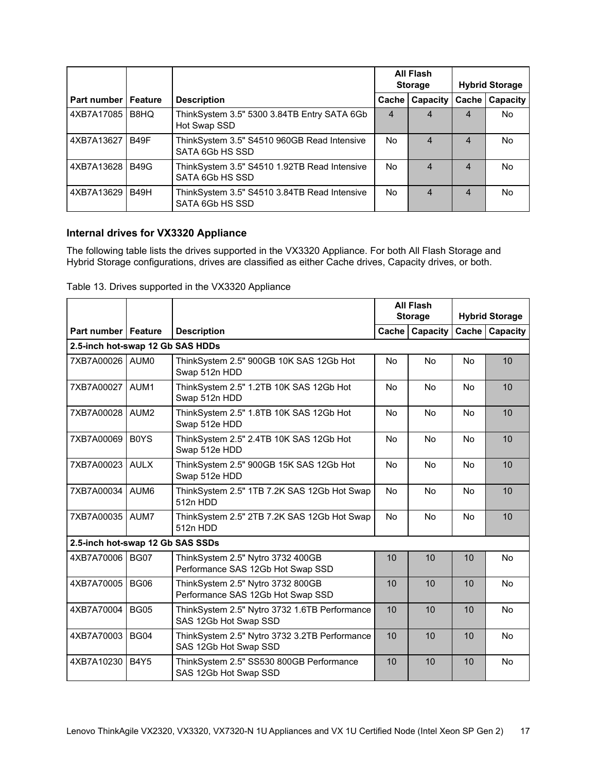|                              |             |                                                                 |                | All Flash<br><b>Storage</b> |                | <b>Hybrid Storage</b> |
|------------------------------|-------------|-----------------------------------------------------------------|----------------|-----------------------------|----------------|-----------------------|
| <b>Part number   Feature</b> |             | <b>Description</b>                                              | Cache          | Capacity                    | Cache          | Capacity              |
| 4XB7A17085 B8HQ              |             | ThinkSystem 3.5" 5300 3.84TB Entry SATA 6Gb<br>Hot Swap SSD     | $\overline{4}$ | $\overline{4}$              | 4              | No.                   |
| 4XB7A13627                   | <b>B49F</b> | ThinkSystem 3.5" S4510 960GB Read Intensive<br>SATA 6Gb HS SSD  | No.            | $\overline{4}$              | 4              | No.                   |
| 4XB7A13628 B49G              |             | ThinkSystem 3.5" S4510 1.92TB Read Intensive<br>SATA 6Gb HS SSD | No.            | $\overline{4}$              | $\overline{4}$ | No.                   |
| 4XB7A13629 B49H              |             | ThinkSystem 3.5" S4510 3.84TB Read Intensive<br>SATA 6Gb HS SSD | No.            | $\overline{4}$              | $\overline{4}$ | No.                   |

### <span id="page-16-0"></span>**Internal drives for VX3320 Appliance**

The following table lists the drives supported in the VX3320 Appliance. For both All Flash Storage and Hybrid Storage configurations, drives are classified as either Cache drives, Capacity drives, or both.

|                                  |                               |                                                                        |           | <b>All Flash</b> |           |                       |
|----------------------------------|-------------------------------|------------------------------------------------------------------------|-----------|------------------|-----------|-----------------------|
|                                  |                               |                                                                        |           | <b>Storage</b>   |           | <b>Hybrid Storage</b> |
| Part number   Feature            |                               | <b>Description</b>                                                     | Cache     | Capacity         | Cache     | Capacity              |
| 2.5-inch hot-swap 12 Gb SAS HDDs |                               |                                                                        |           |                  |           |                       |
| 7XB7A00026 AUM0                  |                               | ThinkSystem 2.5" 900GB 10K SAS 12Gb Hot<br>Swap 512n HDD               | <b>No</b> | <b>No</b>        | <b>No</b> | 10                    |
| 7XB7A00027                       | AUM <sub>1</sub>              | ThinkSystem 2.5" 1.2TB 10K SAS 12Gb Hot<br>Swap 512n HDD               | <b>No</b> | <b>No</b>        | <b>No</b> | 10                    |
| 7XB7A00028                       | AUM <sub>2</sub>              | ThinkSystem 2.5" 1.8TB 10K SAS 12Gb Hot<br>Swap 512e HDD               | No        | <b>No</b>        | <b>No</b> | 10                    |
| 7XB7A00069                       | B <sub>0</sub> Y <sub>S</sub> | ThinkSystem 2.5" 2.4TB 10K SAS 12Gb Hot<br>Swap 512e HDD               | <b>No</b> | <b>No</b>        | <b>No</b> | 10                    |
| 7XB7A00023                       | <b>AULX</b>                   | ThinkSystem 2.5" 900GB 15K SAS 12Gb Hot<br>Swap 512e HDD               | <b>No</b> | No               | No        | 10                    |
| 7XB7A00034                       | AUM <sub>6</sub>              | ThinkSystem 2.5" 1TB 7.2K SAS 12Gb Hot Swap<br>512n HDD                | No        | <b>No</b>        | <b>No</b> | 10                    |
| 7XB7A00035 AUM7                  |                               | ThinkSystem 2.5" 2TB 7.2K SAS 12Gb Hot Swap<br>512n HDD                | <b>No</b> | <b>No</b>        | <b>No</b> | 10                    |
| 2.5-inch hot-swap 12 Gb SAS SSDs |                               |                                                                        |           |                  |           |                       |
| 4XB7A70006   BG07                |                               | ThinkSystem 2.5" Nytro 3732 400GB<br>Performance SAS 12Gb Hot Swap SSD | 10        | 10               | 10        | <b>No</b>             |
| 4XB7A70005                       | <b>BG06</b>                   | ThinkSystem 2.5" Nytro 3732 800GB<br>Performance SAS 12Gb Hot Swap SSD | 10        | 10               | 10        | <b>No</b>             |
| 4XB7A70004                       | <b>BG05</b>                   | ThinkSystem 2.5" Nytro 3732 1.6TB Performance<br>SAS 12Gb Hot Swap SSD | 10        | 10               | 10        | No                    |
| 4XB7A70003                       | <b>BG04</b>                   | ThinkSystem 2.5" Nytro 3732 3.2TB Performance<br>SAS 12Gb Hot Swap SSD | 10        | 10               | 10        | <b>No</b>             |
| 4XB7A10230                       | <b>B4Y5</b>                   | ThinkSystem 2.5" SS530 800GB Performance<br>SAS 12Gb Hot Swap SSD      | 10        | 10               | 10        | No                    |

### Table 13. Drives supported in the VX3320 Appliance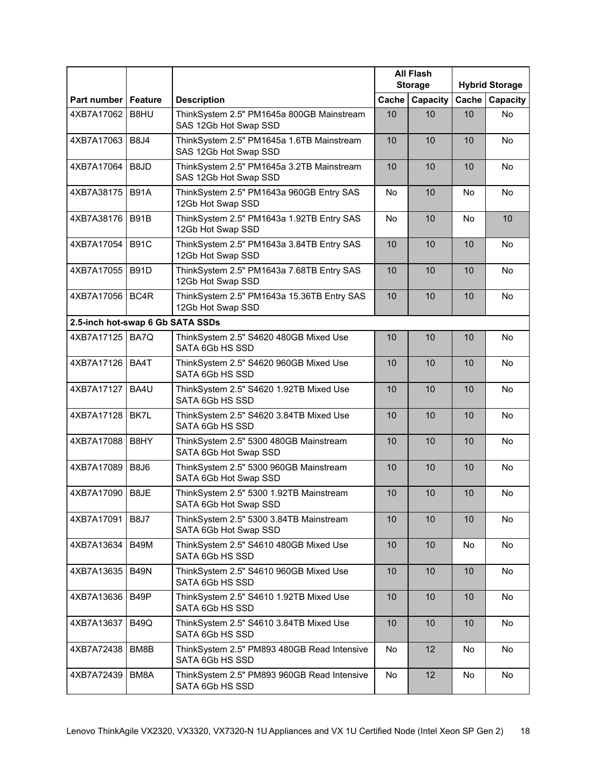|                                  |             |                                                                    |       | <b>All Flash</b><br><b>Storage</b> |           | <b>Hybrid Storage</b> |
|----------------------------------|-------------|--------------------------------------------------------------------|-------|------------------------------------|-----------|-----------------------|
| Part number   Feature            |             | <b>Description</b>                                                 | Cache | Capacity                           | Cache     | Capacity              |
| 4XB7A17062                       | B8HU        | ThinkSystem 2.5" PM1645a 800GB Mainstream<br>SAS 12Gb Hot Swap SSD | 10    | 10                                 | 10        | <b>No</b>             |
| 4XB7A17063                       | <b>B8J4</b> | ThinkSystem 2.5" PM1645a 1.6TB Mainstream<br>SAS 12Gb Hot Swap SSD | 10    | 10                                 | 10        | <b>No</b>             |
| 4XB7A17064                       | B8JD        | ThinkSystem 2.5" PM1645a 3.2TB Mainstream<br>SAS 12Gb Hot Swap SSD | 10    | 10                                 | 10        | No                    |
| 4XB7A38175                       | <b>B91A</b> | ThinkSystem 2.5" PM1643a 960GB Entry SAS<br>12Gb Hot Swap SSD      | No    | 10                                 | <b>No</b> | No                    |
| 4XB7A38176                       | <b>B91B</b> | ThinkSystem 2.5" PM1643a 1.92TB Entry SAS<br>12Gb Hot Swap SSD     | No    | 10                                 | <b>No</b> | 10                    |
| 4XB7A17054                       | <b>B91C</b> | ThinkSystem 2.5" PM1643a 3.84TB Entry SAS<br>12Gb Hot Swap SSD     | 10    | 10                                 | 10        | <b>No</b>             |
| 4XB7A17055                       | <b>B91D</b> | ThinkSystem 2.5" PM1643a 7.68TB Entry SAS<br>12Gb Hot Swap SSD     | 10    | 10                                 | 10        | No                    |
| 4XB7A17056                       | BC4R        | ThinkSystem 2.5" PM1643a 15.36TB Entry SAS<br>12Gb Hot Swap SSD    | 10    | 10                                 | 10        | No                    |
| 2.5-inch hot-swap 6 Gb SATA SSDs |             |                                                                    |       |                                    |           |                       |
| 4XB7A17125                       | BA7Q        | ThinkSystem 2.5" S4620 480GB Mixed Use<br>SATA 6Gb HS SSD          | 10    | 10                                 | 10        | No                    |
| 4XB7A17126                       | BA4T        | ThinkSystem 2.5" S4620 960GB Mixed Use<br>SATA 6Gb HS SSD          | 10    | 10                                 | 10        | <b>No</b>             |
| 4XB7A17127                       | BA4U        | ThinkSystem 2.5" S4620 1.92TB Mixed Use<br>SATA 6Gb HS SSD         | 10    | 10                                 | 10        | No                    |
| 4XB7A17128                       | BK7L        | ThinkSystem 2.5" S4620 3.84TB Mixed Use<br>SATA 6Gb HS SSD         | 10    | 10                                 | 10        | <b>No</b>             |
| 4XB7A17088                       | B8HY        | ThinkSystem 2.5" 5300 480GB Mainstream<br>SATA 6Gb Hot Swap SSD    | 10    | 10                                 | 10        | No                    |
| 4XB7A17089                       | B8J6        | ThinkSystem 2.5" 5300 960GB Mainstream<br>SATA 6Gb Hot Swap SSD    | 10    | 10                                 | 10        | <b>No</b>             |
| 4XB7A17090 B8JE                  |             | ThinkSystem 2.5" 5300 1.92TB Mainstream<br>SATA 6Gb Hot Swap SSD   | 10    | 10                                 | 10        | No                    |
| 4XB7A17091                       | <b>B8J7</b> | ThinkSystem 2.5" 5300 3.84TB Mainstream<br>SATA 6Gb Hot Swap SSD   | 10    | 10                                 | 10        | No                    |
| 4XB7A13634                       | <b>B49M</b> | ThinkSystem 2.5" S4610 480GB Mixed Use<br>SATA 6Gb HS SSD          | 10    | 10                                 | No        | No                    |
| 4XB7A13635                       | <b>B49N</b> | ThinkSystem 2.5" S4610 960GB Mixed Use<br>SATA 6Gb HS SSD          | 10    | 10                                 | 10        | No                    |
| 4XB7A13636                       | B49P        | ThinkSystem 2.5" S4610 1.92TB Mixed Use<br>SATA 6Gb HS SSD         | 10    | 10                                 | 10        | No                    |
| 4XB7A13637                       | <b>B49Q</b> | ThinkSystem 2.5" S4610 3.84TB Mixed Use<br>SATA 6Gb HS SSD         | 10    | 10                                 | 10        | No                    |
| 4XB7A72438                       | BM8B        | ThinkSystem 2.5" PM893 480GB Read Intensive<br>SATA 6Gb HS SSD     | No    | 12                                 | No        | No                    |
| 4XB7A72439                       | BM8A        | ThinkSystem 2.5" PM893 960GB Read Intensive<br>SATA 6Gb HS SSD     | No    | 12                                 | No        | No                    |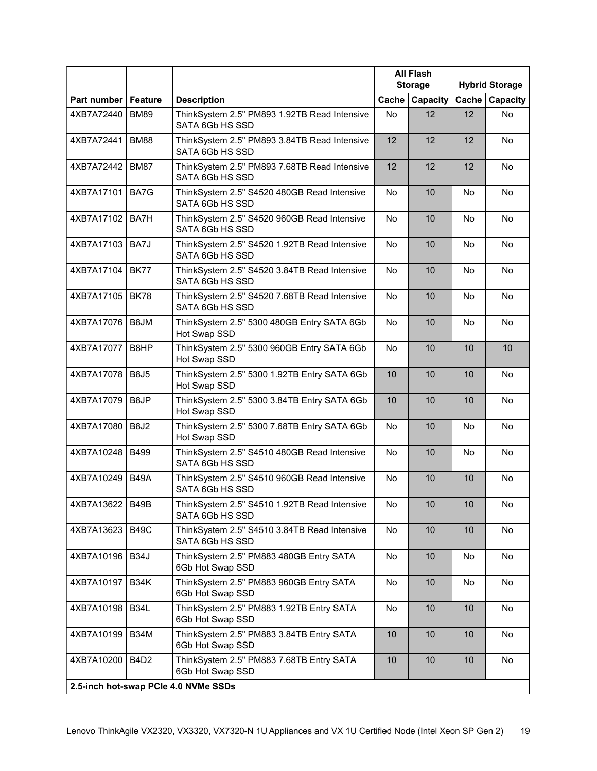|                       |                   |                                                                 |                 | <b>All Flash</b><br><b>Storage</b> |           | <b>Hybrid Storage</b> |
|-----------------------|-------------------|-----------------------------------------------------------------|-----------------|------------------------------------|-----------|-----------------------|
| Part number   Feature |                   | <b>Description</b>                                              | Cache           | Capacity                           | Cache     | <b>Capacity</b>       |
| 4XB7A72440            | <b>BM89</b>       | ThinkSystem 2.5" PM893 1.92TB Read Intensive<br>SATA 6Gb HS SSD | <b>No</b>       | 12                                 | 12        | <b>No</b>             |
| 4XB7A72441            | <b>BM88</b>       | ThinkSystem 2.5" PM893 3.84TB Read Intensive<br>SATA 6Gb HS SSD | 12              | 12                                 | 12        | No                    |
| 4XB7A72442            | <b>BM87</b>       | ThinkSystem 2.5" PM893 7.68TB Read Intensive<br>SATA 6Gb HS SSD | 12              | 12                                 | 12        | No                    |
| 4XB7A17101            | BA7G              | ThinkSystem 2.5" S4520 480GB Read Intensive<br>SATA 6Gb HS SSD  | No              | 10                                 | <b>No</b> | No                    |
| 4XB7A17102            | BA7H              | ThinkSystem 2.5" S4520 960GB Read Intensive<br>SATA 6Gb HS SSD  | No              | 10                                 | <b>No</b> | No                    |
| 4XB7A17103            | BA7J              | ThinkSystem 2.5" S4520 1.92TB Read Intensive<br>SATA 6Gb HS SSD | No              | 10                                 | No        | No                    |
| 4XB7A17104            | <b>BK77</b>       | ThinkSystem 2.5" S4520 3.84TB Read Intensive<br>SATA 6Gb HS SSD | No              | 10                                 | No        | No                    |
| 4XB7A17105            | <b>BK78</b>       | ThinkSystem 2.5" S4520 7.68TB Read Intensive<br>SATA 6Gb HS SSD | No              | 10                                 | <b>No</b> | <b>No</b>             |
| 4XB7A17076            | B8JM              | ThinkSystem 2.5" 5300 480GB Entry SATA 6Gb<br>Hot Swap SSD      | <b>No</b>       | 10                                 | <b>No</b> | <b>No</b>             |
| 4XB7A17077            | B8HP              | ThinkSystem 2.5" 5300 960GB Entry SATA 6Gb<br>Hot Swap SSD      | No              | 10                                 | 10        | 10                    |
| 4XB7A17078            | <b>B8J5</b>       | ThinkSystem 2.5" 5300 1.92TB Entry SATA 6Gb<br>Hot Swap SSD     | 10              | 10                                 | 10        | No                    |
| 4XB7A17079            | B8JP              | ThinkSystem 2.5" 5300 3.84TB Entry SATA 6Gb<br>Hot Swap SSD     | 10              | 10                                 | 10        | <b>No</b>             |
| 4XB7A17080            | <b>B8J2</b>       | ThinkSystem 2.5" 5300 7.68TB Entry SATA 6Gb<br>Hot Swap SSD     | <b>No</b>       | 10                                 | <b>No</b> | <b>No</b>             |
| 4XB7A10248            | <b>B499</b>       | ThinkSystem 2.5" S4510 480GB Read Intensive<br>SATA 6Gb HS SSD  | <b>No</b>       | 10                                 | <b>No</b> | No                    |
| 4XB7A10249            | <b>B49A</b>       | ThinkSystem 2.5" S4510 960GB Read Intensive<br>SATA 6Gb HS SSD  | No              | 10                                 | 10        | No                    |
| 4XB7A13622 B49B       |                   | ThinkSystem 2.5" S4510 1.92TB Read Intensive<br>SATA 6Gb HS SSD | No              | 10                                 | 10        | No                    |
| 4XB7A13623            | <b>B49C</b>       | ThinkSystem 2.5" S4510 3.84TB Read Intensive<br>SATA 6Gb HS SSD | <b>No</b>       | 10                                 | 10        | No                    |
| 4XB7A10196            | <b>B34J</b>       | ThinkSystem 2.5" PM883 480GB Entry SATA<br>6Gb Hot Swap SSD     | No              | 10                                 | No        | No                    |
| 4XB7A10197            | <b>B34K</b>       | ThinkSystem 2.5" PM883 960GB Entry SATA<br>6Gb Hot Swap SSD     | No              | 10                                 | No        | No                    |
| 4XB7A10198            | B <sub>34</sub> L | ThinkSystem 2.5" PM883 1.92TB Entry SATA<br>6Gb Hot Swap SSD    | No              | 10                                 | 10        | No                    |
| 4XB7A10199            | <b>B34M</b>       | ThinkSystem 2.5" PM883 3.84TB Entry SATA<br>6Gb Hot Swap SSD    | 10              | 10                                 | 10        | No                    |
| 4XB7A10200            | <b>B4D2</b>       | ThinkSystem 2.5" PM883 7.68TB Entry SATA<br>6Gb Hot Swap SSD    | 10 <sup>°</sup> | 10                                 | 10        | No                    |
|                       |                   | 2.5-inch hot-swap PCIe 4.0 NVMe SSDs                            |                 |                                    |           |                       |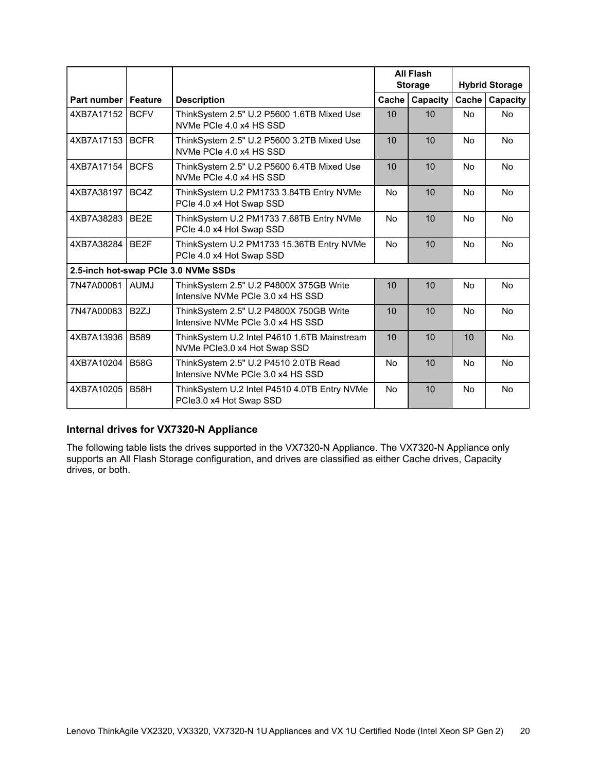|                              |                   |                                                                              |           | <b>All Flash</b><br><b>Storage</b> |           | <b>Hybrid Storage</b> |
|------------------------------|-------------------|------------------------------------------------------------------------------|-----------|------------------------------------|-----------|-----------------------|
| <b>Part number   Feature</b> |                   | <b>Description</b>                                                           | Cache     | Capacity                           | Cache     | Capacity              |
| 4XB7A17152                   | <b>BCFV</b>       | ThinkSystem 2.5" U.2 P5600 1.6TB Mixed Use<br>NVMe PCIe 4.0 x4 HS SSD        | 10        | 10                                 | <b>No</b> | <b>No</b>             |
| 4XB7A17153                   | <b>BCFR</b>       | ThinkSystem 2.5" U.2 P5600 3.2TB Mixed Use<br>NVMe PCIe 4.0 x4 HS SSD        | 10        | 10                                 | No        | <b>No</b>             |
| 4XB7A17154                   | <b>BCFS</b>       | ThinkSystem 2.5" U.2 P5600 6.4TB Mixed Use<br>NVMe PCIe 4.0 x4 HS SSD        | 10        | 10                                 | No        | <b>No</b>             |
| 4XB7A38197                   | BC4Z              | ThinkSystem U.2 PM1733 3.84TB Entry NVMe<br>PCIe 4.0 x4 Hot Swap SSD         | <b>No</b> | 10                                 | <b>No</b> | <b>No</b>             |
| 4XB7A38283                   | BE <sub>2</sub> E | ThinkSystem U.2 PM1733 7.68TB Entry NVMe<br>PCIe 4.0 x4 Hot Swap SSD         | <b>No</b> | 10                                 | <b>No</b> | <b>No</b>             |
| 4XB7A38284 BE2F              |                   | ThinkSystem U.2 PM1733 15.36TB Entry NVMe<br>PCIe 4.0 x4 Hot Swap SSD        | <b>No</b> | 10                                 | <b>No</b> | <b>No</b>             |
|                              |                   | 2.5-inch hot-swap PCIe 3.0 NVMe SSDs                                         |           |                                    |           |                       |
| 7N47A00081                   | <b>AUMJ</b>       | ThinkSystem 2.5" U.2 P4800X 375GB Write<br>Intensive NVMe PCIe 3.0 x4 HS SSD | 10        | 10                                 | No        | <b>No</b>             |
| 7N47A00083                   | B <sub>2</sub> ZJ | ThinkSystem 2.5" U.2 P4800X 750GB Write<br>Intensive NVMe PCIe 3.0 x4 HS SSD | 10        | 10                                 | <b>No</b> | <b>No</b>             |
| 4XB7A13936                   | <b>B589</b>       | ThinkSystem U.2 Intel P4610 1.6TB Mainstream<br>NVMe PCle3.0 x4 Hot Swap SSD | 10        | 10                                 | 10        | <b>No</b>             |
| 4XB7A10204                   | <b>B58G</b>       | ThinkSystem 2.5" U.2 P4510 2.0TB Read<br>Intensive NVMe PCIe 3.0 x4 HS SSD   | No        | 10                                 | <b>No</b> | <b>No</b>             |
| 4XB7A10205                   | <b>B58H</b>       | ThinkSystem U.2 Intel P4510 4.0TB Entry NVMe<br>PCle3.0 x4 Hot Swap SSD      | <b>No</b> | 10                                 | <b>No</b> | <b>No</b>             |

### <span id="page-19-0"></span>**Internal drives for VX7320-N Appliance**

The following table lists the drives supported in the VX7320-N Appliance. The VX7320-N Appliance only supports an All Flash Storage configuration, and drives are classified as either Cache drives, Capacity drives, or both.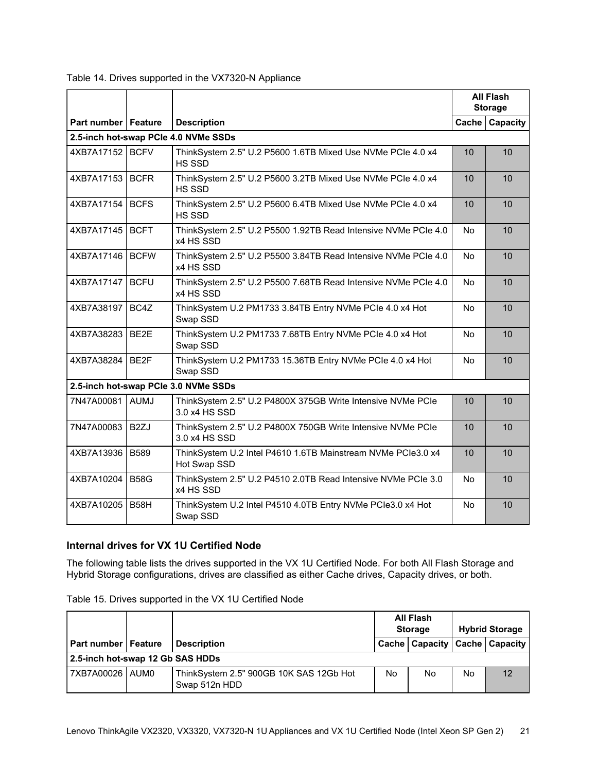|                       |                   |                                                                              |                 | <b>All Flash</b><br><b>Storage</b> |  |
|-----------------------|-------------------|------------------------------------------------------------------------------|-----------------|------------------------------------|--|
| Part number   Feature |                   | <b>Description</b>                                                           |                 | Cache   Capacity                   |  |
|                       |                   | 2.5-inch hot-swap PCle 4.0 NVMe SSDs                                         |                 |                                    |  |
| 4XB7A17152 BCFV       |                   | ThinkSystem 2.5" U.2 P5600 1.6TB Mixed Use NVMe PCIe 4.0 x4<br>HS SSD        | 10 <sup>1</sup> | 10                                 |  |
| 4XB7A17153 BCFR       |                   | ThinkSystem 2.5" U.2 P5600 3.2TB Mixed Use NVMe PCIe 4.0 x4<br>HS SSD        | 10              | 10                                 |  |
| 4XB7A17154            | <b>BCFS</b>       | ThinkSystem 2.5" U.2 P5600 6.4TB Mixed Use NVMe PCIe 4.0 x4<br>HS SSD        | 10              | 10                                 |  |
| 4XB7A17145            | <b>BCFT</b>       | ThinkSystem 2.5" U.2 P5500 1.92TB Read Intensive NVMe PCIe 4.0<br>x4 HS SSD  | No.             | 10                                 |  |
| 4XB7A17146 BCFW       |                   | ThinkSystem 2.5" U.2 P5500 3.84TB Read Intensive NVMe PCIe 4.0<br>x4 HS SSD  | <b>No</b>       | 10                                 |  |
| 4XB7A17147 BCFU       |                   | ThinkSystem 2.5" U.2 P5500 7.68TB Read Intensive NVMe PCIe 4.0<br>x4 HS SSD  | No              | 10                                 |  |
| 4XB7A38197            | BC4Z              | ThinkSystem U.2 PM1733 3.84TB Entry NVMe PCIe 4.0 x4 Hot<br>Swap SSD         | No              | 10                                 |  |
| 4XB7A38283            | BE2E              | ThinkSystem U.2 PM1733 7.68TB Entry NVMe PCIe 4.0 x4 Hot<br>Swap SSD         | No.             | 10                                 |  |
| 4XB7A38284 BE2F       |                   | ThinkSystem U.2 PM1733 15.36TB Entry NVMe PCIe 4.0 x4 Hot<br>Swap SSD        | No.             | 10                                 |  |
|                       |                   | 2.5-inch hot-swap PCIe 3.0 NVMe SSDs                                         |                 |                                    |  |
| 7N47A00081 AUMJ       |                   | ThinkSystem 2.5" U.2 P4800X 375GB Write Intensive NVMe PCIe<br>3.0 x4 HS SSD | 10              | 10                                 |  |
| 7N47A00083            | B <sub>2Z</sub> J | ThinkSystem 2.5" U.2 P4800X 750GB Write Intensive NVMe PCIe<br>3.0 x4 HS SSD | 10              | 10                                 |  |
| 4XB7A13936 B589       |                   | ThinkSystem U.2 Intel P4610 1.6TB Mainstream NVMe PCIe3.0 x4<br>Hot Swap SSD | 10              | 10                                 |  |
| 4XB7A10204            | <b>B58G</b>       | ThinkSystem 2.5" U.2 P4510 2.0TB Read Intensive NVMe PCIe 3.0<br>x4 HS SSD   | No.             | 10                                 |  |
| 4XB7A10205            | <b>B58H</b>       | ThinkSystem U.2 Intel P4510 4.0TB Entry NVMe PCIe3.0 x4 Hot<br>Swap SSD      | No              | 10                                 |  |

Table 14. Drives supported in the VX7320-N Appliance

### <span id="page-20-0"></span>**Internal drives for VX 1U Certified Node**

The following table lists the drives supported in the VX 1U Certified Node. For both All Flash Storage and Hybrid Storage configurations, drives are classified as either Cache drives, Capacity drives, or both.

|  | Table 15. Drives supported in the VX 1U Certified Node |  |  |  |
|--|--------------------------------------------------------|--|--|--|
|  |                                                        |  |  |  |

|                                  |  |                                                          | All Flash<br><b>Storage</b> |                                     | <b>Hybrid Storage</b> |    |  |
|----------------------------------|--|----------------------------------------------------------|-----------------------------|-------------------------------------|-----------------------|----|--|
| <b>Part number   Feature</b>     |  | <b>Description</b>                                       |                             | Cache   Capacity   Cache   Capacity |                       |    |  |
| 2.5-inch hot-swap 12 Gb SAS HDDs |  |                                                          |                             |                                     |                       |    |  |
| 7XB7A00026   AUM0                |  | ThinkSystem 2.5" 900GB 10K SAS 12Gb Hot<br>Swap 512n HDD | No                          | No                                  | No                    | 12 |  |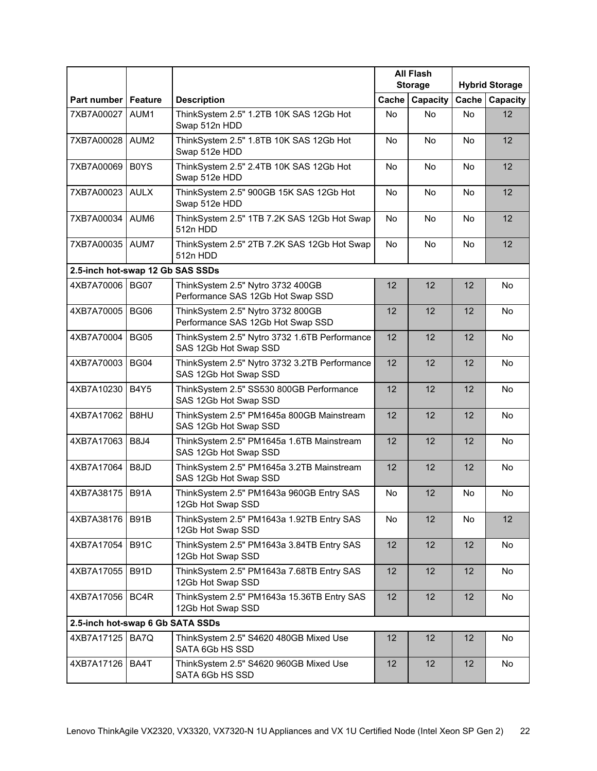|                                  |                  |                                                                        | <b>All Flash</b> |           |           |                       |
|----------------------------------|------------------|------------------------------------------------------------------------|------------------|-----------|-----------|-----------------------|
|                                  |                  |                                                                        | <b>Storage</b>   |           |           | <b>Hybrid Storage</b> |
| Part number   Feature            |                  | <b>Description</b>                                                     | Cache            | Capacity  | Cache     | Capacity              |
| 7XB7A00027                       | AUM1             | ThinkSystem 2.5" 1.2TB 10K SAS 12Gb Hot<br>Swap 512n HDD               | No               | <b>No</b> | <b>No</b> | 12                    |
| 7XB7A00028                       | AUM <sub>2</sub> | ThinkSystem 2.5" 1.8TB 10K SAS 12Gb Hot<br>Swap 512e HDD               | <b>No</b>        | <b>No</b> | <b>No</b> | 12                    |
| 7XB7A00069                       | <b>BOYS</b>      | ThinkSystem 2.5" 2.4TB 10K SAS 12Gb Hot<br>Swap 512e HDD               | No               | <b>No</b> | No.       | 12                    |
| 7XB7A00023                       | <b>AULX</b>      | ThinkSystem 2.5" 900GB 15K SAS 12Gb Hot<br>Swap 512e HDD               | No               | <b>No</b> | <b>No</b> | 12                    |
| 7XB7A00034                       | AUM <sub>6</sub> | ThinkSystem 2.5" 1TB 7.2K SAS 12Gb Hot Swap<br>512n HDD                | No               | <b>No</b> | <b>No</b> | 12                    |
| 7XB7A00035 AUM7                  |                  | ThinkSystem 2.5" 2TB 7.2K SAS 12Gb Hot Swap<br>512n HDD                | No               | No        | <b>No</b> | 12                    |
| 2.5-inch hot-swap 12 Gb SAS SSDs |                  |                                                                        |                  |           |           |                       |
| 4XB7A70006 BG07                  |                  | ThinkSystem 2.5" Nytro 3732 400GB<br>Performance SAS 12Gb Hot Swap SSD | 12               | 12        | 12        | No                    |
| 4XB7A70005                       | <b>BG06</b>      | ThinkSystem 2.5" Nytro 3732 800GB<br>Performance SAS 12Gb Hot Swap SSD | 12               | 12        | 12        | No                    |
| 4XB7A70004                       | <b>BG05</b>      | ThinkSystem 2.5" Nytro 3732 1.6TB Performance<br>SAS 12Gb Hot Swap SSD | 12               | 12        | 12        | No                    |
| 4XB7A70003                       | <b>BG04</b>      | ThinkSystem 2.5" Nytro 3732 3.2TB Performance<br>SAS 12Gb Hot Swap SSD | 12               | 12        | 12        | No                    |
| 4XB7A10230                       | <b>B4Y5</b>      | ThinkSystem 2.5" SS530 800GB Performance<br>SAS 12Gb Hot Swap SSD      | 12               | 12        | 12        | No                    |
| 4XB7A17062                       | B8HU             | ThinkSystem 2.5" PM1645a 800GB Mainstream<br>SAS 12Gb Hot Swap SSD     | 12               | 12        | 12        | No                    |
| 4XB7A17063                       | <b>B8J4</b>      | ThinkSystem 2.5" PM1645a 1.6TB Mainstream<br>SAS 12Gb Hot Swap SSD     | 12               | 12        | 12        | <b>No</b>             |
| 4XB7A17064                       | B8JD             | ThinkSystem 2.5" PM1645a 3.2TB Mainstream<br>SAS 12Gb Hot Swap SSD     | 12               | 12        | 12        | <b>No</b>             |
| 4XB7A38175   B91A                |                  | ThinkSystem 2.5" PM1643a 960GB Entry SAS<br>12Gb Hot Swap SSD          | No               | 12        | No        | No                    |
| 4XB7A38176   B91B                |                  | ThinkSystem 2.5" PM1643a 1.92TB Entry SAS<br>12Gb Hot Swap SSD         | <b>No</b>        | 12        | No        | 12                    |
| 4XB7A17054                       | <b>B91C</b>      | ThinkSystem 2.5" PM1643a 3.84TB Entry SAS<br>12Gb Hot Swap SSD         | 12               | 12        | 12        | No                    |
| 4XB7A17055                       | <b>B91D</b>      | ThinkSystem 2.5" PM1643a 7.68TB Entry SAS<br>12Gb Hot Swap SSD         | 12               | 12        | 12        | No                    |
| 4XB7A17056                       | BC4R             | ThinkSystem 2.5" PM1643a 15.36TB Entry SAS<br>12Gb Hot Swap SSD        | 12               | 12        | 12        | No                    |
| 2.5-inch hot-swap 6 Gb SATA SSDs |                  |                                                                        |                  |           |           |                       |
| 4XB7A17125                       | BA7Q             | ThinkSystem 2.5" S4620 480GB Mixed Use<br>SATA 6Gb HS SSD              | 12               | 12        | 12        | No                    |
| 4XB7A17126                       | BA4T             | ThinkSystem 2.5" S4620 960GB Mixed Use<br>SATA 6Gb HS SSD              | 12               | 12        | 12        | No                    |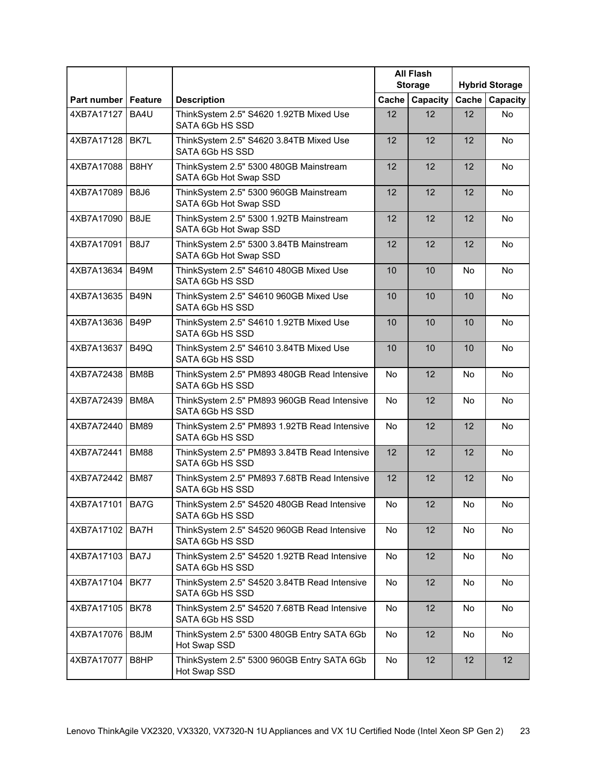|                       |                   |                                                                  | <b>All Flash</b><br><b>Storage</b> |                 | <b>Hybrid Storage</b> |           |
|-----------------------|-------------------|------------------------------------------------------------------|------------------------------------|-----------------|-----------------------|-----------|
| Part number   Feature |                   | <b>Description</b>                                               | Cache                              | Capacity        | Cache                 | Capacity  |
| 4XB7A17127            | BA4U              | ThinkSystem 2.5" S4620 1.92TB Mixed Use<br>SATA 6Gb HS SSD       | 12                                 | 12              | 12                    | <b>No</b> |
| 4XB7A17128            | BK7L              | ThinkSystem 2.5" S4620 3.84TB Mixed Use<br>SATA 6Gb HS SSD       | 12                                 | 12              | 12                    | No        |
| 4XB7A17088            | B8HY              | ThinkSystem 2.5" 5300 480GB Mainstream<br>SATA 6Gb Hot Swap SSD  | 12                                 | 12              | 12                    | <b>No</b> |
| 4XB7A17089            | <b>B8J6</b>       | ThinkSystem 2.5" 5300 960GB Mainstream<br>SATA 6Gb Hot Swap SSD  | 12                                 | 12              | 12                    | <b>No</b> |
| 4XB7A17090            | B8JE              | ThinkSystem 2.5" 5300 1.92TB Mainstream<br>SATA 6Gb Hot Swap SSD | 12                                 | 12              | 12                    | No        |
| 4XB7A17091            | <b>B8J7</b>       | ThinkSystem 2.5" 5300 3.84TB Mainstream<br>SATA 6Gb Hot Swap SSD | 12                                 | 12              | 12                    | No        |
| 4XB7A13634            | <b>B49M</b>       | ThinkSystem 2.5" S4610 480GB Mixed Use<br>SATA 6Gb HS SSD        | 10                                 | 10              | No                    | No        |
| 4XB7A13635            | <b>B49N</b>       | ThinkSystem 2.5" S4610 960GB Mixed Use<br>SATA 6Gb HS SSD        | 10                                 | 10              | 10                    | No        |
| 4XB7A13636            | B <sub>49</sub> P | ThinkSystem 2.5" S4610 1.92TB Mixed Use<br>SATA 6Gb HS SSD       | 10                                 | 10              | 10                    | No        |
| 4XB7A13637            | <b>B49Q</b>       | ThinkSystem 2.5" S4610 3.84TB Mixed Use<br>SATA 6Gb HS SSD       | 10                                 | 10              | 10                    | No        |
| 4XB7A72438            | BM8B              | ThinkSystem 2.5" PM893 480GB Read Intensive<br>SATA 6Gb HS SSD   | No                                 | 12              | <b>No</b>             | No        |
| 4XB7A72439            | BM8A              | ThinkSystem 2.5" PM893 960GB Read Intensive<br>SATA 6Gb HS SSD   | No                                 | 12              | <b>No</b>             | <b>No</b> |
| 4XB7A72440            | <b>BM89</b>       | ThinkSystem 2.5" PM893 1.92TB Read Intensive<br>SATA 6Gb HS SSD  | No                                 | 12              | 12                    | <b>No</b> |
| 4XB7A72441            | <b>BM88</b>       | ThinkSystem 2.5" PM893 3.84TB Read Intensive<br>SATA 6Gb HS SSD  | 12                                 | 12              | 12                    | No        |
| 4XB7A72442 BM87       |                   | ThinkSystem 2.5" PM893 7.68TB Read Intensive<br>SATA 6Gb HS SSD  | 12                                 | 12              | 12                    | No        |
| 4XB7A17101 BA7G       |                   | ThinkSystem 2.5" S4520 480GB Read Intensive<br>SATA 6Gb HS SSD   | No                                 | 12              | No                    | No        |
| 4XB7A17102 BA7H       |                   | ThinkSystem 2.5" S4520 960GB Read Intensive<br>SATA 6Gb HS SSD   | No                                 | 12              | No                    | No        |
| 4XB7A17103            | BA7J              | ThinkSystem 2.5" S4520 1.92TB Read Intensive<br>SATA 6Gb HS SSD  | No                                 | 12              | No                    | No        |
| 4XB7A17104            | BK77              | ThinkSystem 2.5" S4520 3.84TB Read Intensive<br>SATA 6Gb HS SSD  | No                                 | 12              | No                    | No        |
| 4XB7A17105            | <b>BK78</b>       | ThinkSystem 2.5" S4520 7.68TB Read Intensive<br>SATA 6Gb HS SSD  | No                                 | 12              | No                    | No        |
| 4XB7A17076            | B8JM              | ThinkSystem 2.5" 5300 480GB Entry SATA 6Gb<br>Hot Swap SSD       | No                                 | 12              | No                    | No        |
| 4XB7A17077            | B8HP              | ThinkSystem 2.5" 5300 960GB Entry SATA 6Gb<br>Hot Swap SSD       | No                                 | 12 <sup>2</sup> | 12                    | 12        |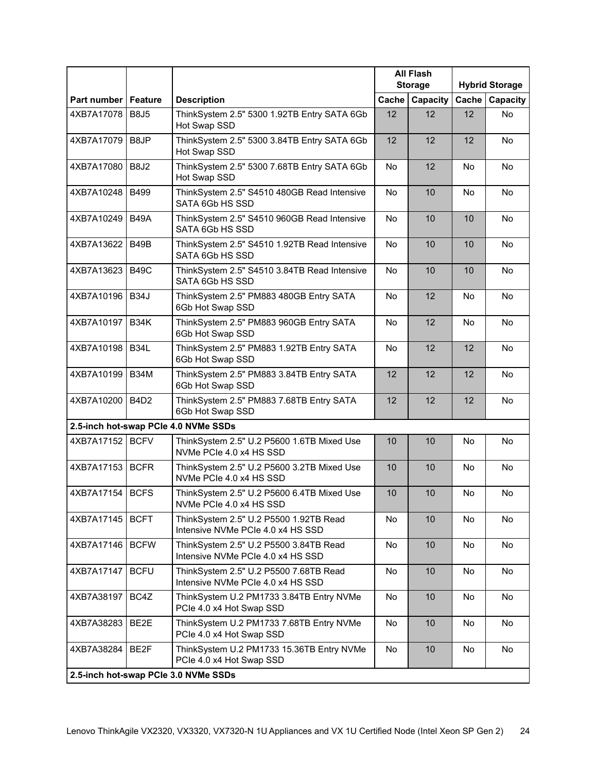|                       |             |                                                                             | <b>All Flash</b><br><b>Storage</b> |          | <b>Hybrid Storage</b> |                 |
|-----------------------|-------------|-----------------------------------------------------------------------------|------------------------------------|----------|-----------------------|-----------------|
| Part number   Feature |             | <b>Description</b>                                                          | Cache                              | Capacity | Cache                 | <b>Capacity</b> |
| 4XB7A17078            | <b>B8J5</b> | ThinkSystem 2.5" 5300 1.92TB Entry SATA 6Gb<br>Hot Swap SSD                 | 12                                 | 12       | 12                    | <b>No</b>       |
| 4XB7A17079            | B8JP        | ThinkSystem 2.5" 5300 3.84TB Entry SATA 6Gb<br>Hot Swap SSD                 | 12                                 | 12       | 12                    | <b>No</b>       |
| 4XB7A17080            | <b>B8J2</b> | ThinkSystem 2.5" 5300 7.68TB Entry SATA 6Gb<br>Hot Swap SSD                 | No                                 | 12       | No                    | <b>No</b>       |
| 4XB7A10248            | <b>B499</b> | ThinkSystem 2.5" S4510 480GB Read Intensive<br>SATA 6Gb HS SSD              | No                                 | 10       | No.                   | <b>No</b>       |
| 4XB7A10249            | <b>B49A</b> | ThinkSystem 2.5" S4510 960GB Read Intensive<br>SATA 6Gb HS SSD              | No                                 | 10       | 10                    | No              |
| 4XB7A13622            | <b>B49B</b> | ThinkSystem 2.5" S4510 1.92TB Read Intensive<br>SATA 6Gb HS SSD             | No                                 | 10       | 10                    | No              |
| 4XB7A13623            | <b>B49C</b> | ThinkSystem 2.5" S4510 3.84TB Read Intensive<br>SATA 6Gb HS SSD             | No                                 | 10       | 10                    | No              |
| 4XB7A10196            | <b>B34J</b> | ThinkSystem 2.5" PM883 480GB Entry SATA<br>6Gb Hot Swap SSD                 | <b>No</b>                          | 12       | <b>No</b>             | No              |
| 4XB7A10197            | <b>B34K</b> | ThinkSystem 2.5" PM883 960GB Entry SATA<br>6Gb Hot Swap SSD                 | <b>No</b>                          | 12       | <b>No</b>             | <b>No</b>       |
| 4XB7A10198            | <b>B34L</b> | ThinkSystem 2.5" PM883 1.92TB Entry SATA<br>6Gb Hot Swap SSD                | No                                 | 12       | 12                    | No              |
| 4XB7A10199            | <b>B34M</b> | ThinkSystem 2.5" PM883 3.84TB Entry SATA<br>6Gb Hot Swap SSD                | 12                                 | 12       | 12                    | <b>No</b>       |
| 4XB7A10200            | <b>B4D2</b> | ThinkSystem 2.5" PM883 7.68TB Entry SATA<br>6Gb Hot Swap SSD                | 12                                 | 12       | 12                    | <b>No</b>       |
|                       |             | 2.5-inch hot-swap PCle 4.0 NVMe SSDs                                        |                                    |          |                       |                 |
| 4XB7A17152 BCFV       |             | ThinkSystem 2.5" U.2 P5600 1.6TB Mixed Use<br>NVMe PCIe 4.0 x4 HS SSD       | 10                                 | 10       | No.                   | No.             |
| 4XB7A17153            | <b>BCFR</b> | ThinkSystem 2.5" U.2 P5600 3.2TB Mixed Use<br>NVMe PCIe 4.0 x4 HS SSD       | 10                                 | 10       | <b>No</b>             | <b>No</b>       |
| 4XB7A17154   BCFS     |             | ThinkSystem 2.5" U.2 P5600 6.4TB Mixed Use<br>NVMe PCIe 4.0 x4 HS SSD       | 10                                 | 10       | No                    | No              |
| 4XB7A17145   BCFT     |             | ThinkSystem 2.5" U.2 P5500 1.92TB Read<br>Intensive NVMe PCIe 4.0 x4 HS SSD | No                                 | 10       | <b>No</b>             | <b>No</b>       |
| 4XB7A17146            | <b>BCFW</b> | ThinkSystem 2.5" U.2 P5500 3.84TB Read<br>Intensive NVMe PCIe 4.0 x4 HS SSD | No                                 | 10       | No                    | No              |
| 4XB7A17147            | <b>BCFU</b> | ThinkSystem 2.5" U.2 P5500 7.68TB Read<br>Intensive NVMe PCIe 4.0 x4 HS SSD | No                                 | 10       | No                    | No              |
| 4XB7A38197            | BC4Z        | ThinkSystem U.2 PM1733 3.84TB Entry NVMe<br>PCIe 4.0 x4 Hot Swap SSD        | No                                 | 10       | <b>No</b>             | No              |
| 4XB7A38283            | BE2E        | ThinkSystem U.2 PM1733 7.68TB Entry NVMe<br>PCIe 4.0 x4 Hot Swap SSD        | <b>No</b>                          | 10       | No.                   | No              |
| 4XB7A38284            | BE2F        | ThinkSystem U.2 PM1733 15.36TB Entry NVMe<br>PCIe 4.0 x4 Hot Swap SSD       | No                                 | 10       | No                    | No              |
|                       |             | 2.5-inch hot-swap PCIe 3.0 NVMe SSDs                                        |                                    |          |                       |                 |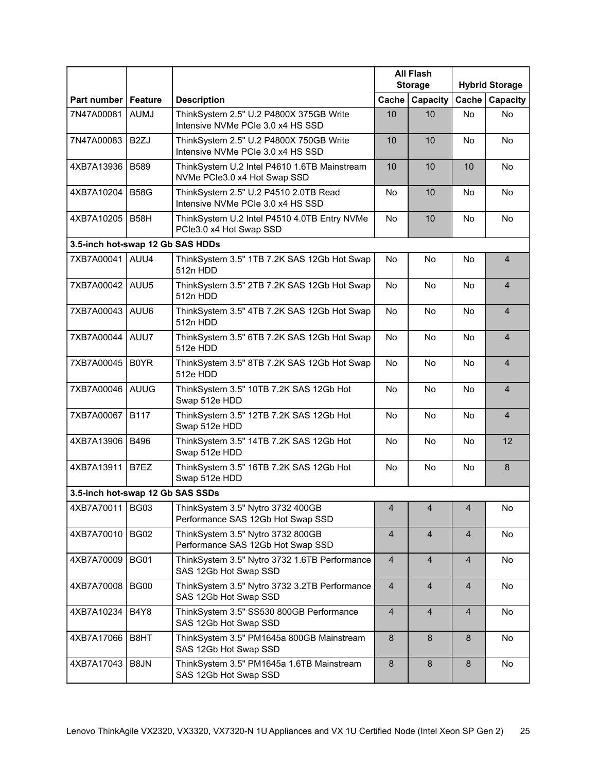|                                  |                   |                                                                              | <b>All Flash</b><br><b>Storage</b> |                | <b>Hybrid Storage</b> |                   |
|----------------------------------|-------------------|------------------------------------------------------------------------------|------------------------------------|----------------|-----------------------|-------------------|
| Part number   Feature            |                   | <b>Description</b>                                                           | Cache                              | Capacity       | Cache                 | Capacity          |
| 7N47A00081                       | <b>AUMJ</b>       | ThinkSystem 2.5" U.2 P4800X 375GB Write<br>Intensive NVMe PCIe 3.0 x4 HS SSD | 10                                 | 10             | <b>No</b>             | <b>No</b>         |
| 7N47A00083                       | B <sub>2</sub> ZJ | ThinkSystem 2.5" U.2 P4800X 750GB Write<br>Intensive NVMe PCIe 3.0 x4 HS SSD | 10                                 | 10             | No                    | No.               |
| 4XB7A13936 B589                  |                   | ThinkSystem U.2 Intel P4610 1.6TB Mainstream<br>NVMe PCle3.0 x4 Hot Swap SSD | 10                                 | 10             | 10                    | <b>No</b>         |
| 4XB7A10204                       | <b>B58G</b>       | ThinkSystem 2.5" U.2 P4510 2.0TB Read<br>Intensive NVMe PCIe 3.0 x4 HS SSD   | No                                 | 10             | No                    | <b>No</b>         |
| 4XB7A10205   B58H                |                   | ThinkSystem U.2 Intel P4510 4.0TB Entry NVMe<br>PCle3.0 x4 Hot Swap SSD      | No                                 | 10             | <b>No</b>             | <b>No</b>         |
| 3.5-inch hot-swap 12 Gb SAS HDDs |                   |                                                                              |                                    |                |                       |                   |
| 7XB7A00041 AUU4                  |                   | ThinkSystem 3.5" 1TB 7.2K SAS 12Gb Hot Swap<br>512n HDD                      | No                                 | <b>No</b>      | <b>No</b>             | $\overline{4}$    |
| 7XB7A00042 AUU5                  |                   | ThinkSystem 3.5" 2TB 7.2K SAS 12Gb Hot Swap<br>512n HDD                      | <b>No</b>                          | <b>No</b>      | <b>No</b>             | $\overline{4}$    |
| 7XB7A00043                       | AUU6              | ThinkSystem 3.5" 4TB 7.2K SAS 12Gb Hot Swap<br>512n HDD                      | <b>No</b>                          | <b>No</b>      | No.                   | $\overline{4}$    |
| 7XB7A00044   AUU7                |                   | ThinkSystem 3.5" 6TB 7.2K SAS 12Gb Hot Swap<br>512e HDD                      | No                                 | <b>No</b>      | <b>No</b>             | $\overline{4}$    |
| 7XB7A00045                       | <b>B0YR</b>       | ThinkSystem 3.5" 8TB 7.2K SAS 12Gb Hot Swap<br>512e HDD                      | <b>No</b>                          | No             | <b>No</b>             | $\overline{4}$    |
| 7XB7A00046 AUUG                  |                   | ThinkSystem 3.5" 10TB 7.2K SAS 12Gb Hot<br>Swap 512e HDD                     | <b>No</b>                          | <b>No</b>      | <b>No</b>             | $\overline{4}$    |
| 7XB7A00067                       | <b>B117</b>       | ThinkSystem 3.5" 12TB 7.2K SAS 12Gb Hot<br>Swap 512e HDD                     | No                                 | <b>No</b>      | No.                   | $\overline{4}$    |
| 4XB7A13906                       | <b>B496</b>       | ThinkSystem 3.5" 14TB 7.2K SAS 12Gb Hot<br>Swap 512e HDD                     | No                                 | <b>No</b>      | No                    | $12 \overline{ }$ |
| 4XB7A13911                       | B7EZ              | ThinkSystem 3.5" 16TB 7.2K SAS 12Gb Hot<br>Swap 512e HDD                     | No                                 | <b>No</b>      | <b>No</b>             | 8                 |
| 3.5-inch hot-swap 12 Gb SAS SSDs |                   |                                                                              |                                    |                |                       |                   |
| 4XB7A70011   BG03                |                   | ThinkSystem 3.5" Nytro 3732 400GB<br>Performance SAS 12Gb Hot Swap SSD       | $\overline{4}$                     | $\overline{4}$ | $\overline{4}$        | No                |
| 4XB7A70010                       | <b>BG02</b>       | ThinkSystem 3.5" Nytro 3732 800GB<br>Performance SAS 12Gb Hot Swap SSD       | $\overline{4}$                     | $\overline{4}$ | 4                     | No                |
| 4XB7A70009                       | <b>BG01</b>       | ThinkSystem 3.5" Nytro 3732 1.6TB Performance<br>SAS 12Gb Hot Swap SSD       | $\overline{4}$                     | $\overline{4}$ | $\overline{4}$        | No                |
| 4XB7A70008                       | <b>BG00</b>       | ThinkSystem 3.5" Nytro 3732 3.2TB Performance<br>SAS 12Gb Hot Swap SSD       | $\overline{4}$                     | $\overline{4}$ | 4                     | No                |
| 4XB7A10234                       | B4Y8              | ThinkSystem 3.5" SS530 800GB Performance<br>SAS 12Gb Hot Swap SSD            | $\overline{4}$                     | $\overline{4}$ | $\overline{4}$        | No                |
| 4XB7A17066                       | B8HT              | ThinkSystem 3.5" PM1645a 800GB Mainstream<br>SAS 12Gb Hot Swap SSD           | 8                                  | 8              | 8                     | No                |
| 4XB7A17043                       | B8JN              | ThinkSystem 3.5" PM1645a 1.6TB Mainstream<br>SAS 12Gb Hot Swap SSD           | $\,8\,$                            | 8              | 8                     | No                |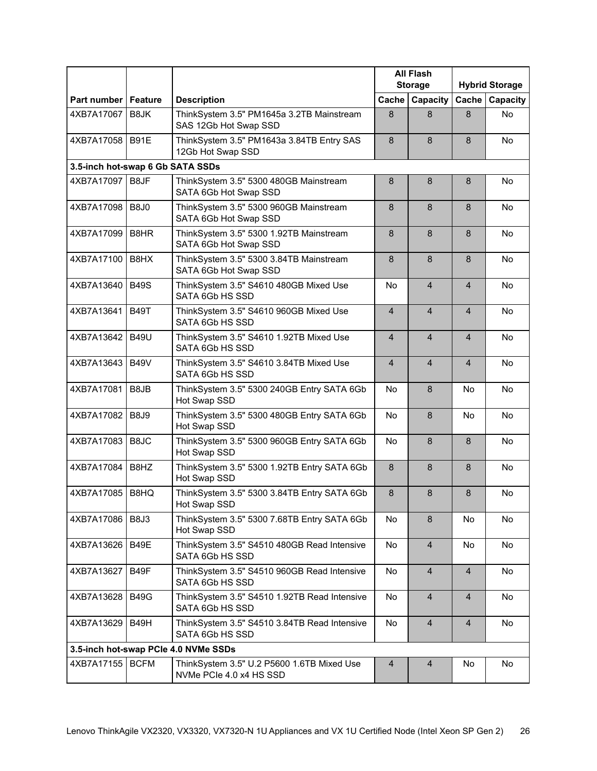|                       |                                  |                                                                       | <b>All Flash</b><br><b>Storage</b> |                | <b>Hybrid Storage</b>    |           |  |  |  |  |
|-----------------------|----------------------------------|-----------------------------------------------------------------------|------------------------------------|----------------|--------------------------|-----------|--|--|--|--|
| Part number   Feature |                                  | <b>Description</b>                                                    | Cache                              | Capacity       | Cache                    | Capacity  |  |  |  |  |
| 4XB7A17067            | B8JK                             | ThinkSystem 3.5" PM1645a 3.2TB Mainstream<br>SAS 12Gb Hot Swap SSD    | 8                                  | 8              | 8                        | <b>No</b> |  |  |  |  |
| 4XB7A17058   B91E     |                                  | ThinkSystem 3.5" PM1643a 3.84TB Entry SAS<br>12Gb Hot Swap SSD        | 8                                  | 8              | 8                        | <b>No</b> |  |  |  |  |
|                       | 3.5-inch hot-swap 6 Gb SATA SSDs |                                                                       |                                    |                |                          |           |  |  |  |  |
| 4XB7A17097            | B8JF                             | ThinkSystem 3.5" 5300 480GB Mainstream<br>SATA 6Gb Hot Swap SSD       | 8                                  | 8              | 8                        | No.       |  |  |  |  |
| 4XB7A17098            | <b>B8J0</b>                      | ThinkSystem 3.5" 5300 960GB Mainstream<br>SATA 6Gb Hot Swap SSD       | 8                                  | 8              | 8                        | No.       |  |  |  |  |
| 4XB7A17099            | B8HR                             | ThinkSystem 3.5" 5300 1.92TB Mainstream<br>SATA 6Gb Hot Swap SSD      | 8                                  | 8              | 8                        | <b>No</b> |  |  |  |  |
| 4XB7A17100            | <b>B8HX</b>                      | ThinkSystem 3.5" 5300 3.84TB Mainstream<br>SATA 6Gb Hot Swap SSD      | 8                                  | 8              | 8                        | No        |  |  |  |  |
| 4XB7A13640            | <b>B49S</b>                      | ThinkSystem 3.5" S4610 480GB Mixed Use<br>SATA 6Gb HS SSD             | No                                 | $\overline{4}$ | $\overline{\mathcal{A}}$ | No        |  |  |  |  |
| 4XB7A13641            | <b>B49T</b>                      | ThinkSystem 3.5" S4610 960GB Mixed Use<br>SATA 6Gb HS SSD             | $\overline{4}$                     | $\overline{4}$ | $\overline{4}$           | No        |  |  |  |  |
| 4XB7A13642            | <b>B49U</b>                      | ThinkSystem 3.5" S4610 1.92TB Mixed Use<br>SATA 6Gb HS SSD            | $\overline{4}$                     | $\overline{4}$ | 4                        | <b>No</b> |  |  |  |  |
| 4XB7A13643            | <b>B49V</b>                      | ThinkSystem 3.5" S4610 3.84TB Mixed Use<br>SATA 6Gb HS SSD            | $\overline{4}$                     | $\overline{4}$ | $\overline{4}$           | No        |  |  |  |  |
| 4XB7A17081            | B8JB                             | ThinkSystem 3.5" 5300 240GB Entry SATA 6Gb<br>Hot Swap SSD            | No                                 | 8              | <b>No</b>                | No        |  |  |  |  |
| 4XB7A17082            | <b>B8J9</b>                      | ThinkSystem 3.5" 5300 480GB Entry SATA 6Gb<br>Hot Swap SSD            | No                                 | 8              | <b>No</b>                | <b>No</b> |  |  |  |  |
| 4XB7A17083            | B8JC                             | ThinkSystem 3.5" 5300 960GB Entry SATA 6Gb<br>Hot Swap SSD            | No                                 | 8              | 8                        | No.       |  |  |  |  |
| 4XB7A17084            | B8HZ                             | ThinkSystem 3.5" 5300 1.92TB Entry SATA 6Gb<br>Hot Swap SSD           | 8                                  | 8              | 8                        | <b>No</b> |  |  |  |  |
| 4XB7A17085   B8HQ     |                                  | ThinkSystem 3.5" 5300 3.84TB Entry SATA 6Gb<br>Hot Swap SSD           | 8                                  | 8              | 8                        | No        |  |  |  |  |
| 4XB7A17086   B8J3     |                                  | ThinkSystem 3.5" 5300 7.68TB Entry SATA 6Gb<br>Hot Swap SSD           | No                                 | 8              | No                       | No        |  |  |  |  |
| 4XB7A13626            | B49E                             | ThinkSystem 3.5" S4510 480GB Read Intensive<br>SATA 6Gb HS SSD        | No                                 | $\overline{4}$ | No                       | No        |  |  |  |  |
| 4XB7A13627            | B49F                             | ThinkSystem 3.5" S4510 960GB Read Intensive<br>SATA 6Gb HS SSD        | No                                 | $\overline{4}$ | $\overline{4}$           | No        |  |  |  |  |
| 4XB7A13628            | <b>B49G</b>                      | ThinkSystem 3.5" S4510 1.92TB Read Intensive<br>SATA 6Gb HS SSD       | No                                 | $\overline{4}$ | $\overline{4}$           | No        |  |  |  |  |
| 4XB7A13629            | B49H                             | ThinkSystem 3.5" S4510 3.84TB Read Intensive<br>SATA 6Gb HS SSD       | No                                 | $\overline{4}$ | $\overline{4}$           | No        |  |  |  |  |
|                       |                                  | 3.5-inch hot-swap PCle 4.0 NVMe SSDs                                  |                                    |                |                          |           |  |  |  |  |
| 4XB7A17155            | <b>BCFM</b>                      | ThinkSystem 3.5" U.2 P5600 1.6TB Mixed Use<br>NVMe PCIe 4.0 x4 HS SSD | $\overline{4}$                     | $\overline{4}$ | No                       | No        |  |  |  |  |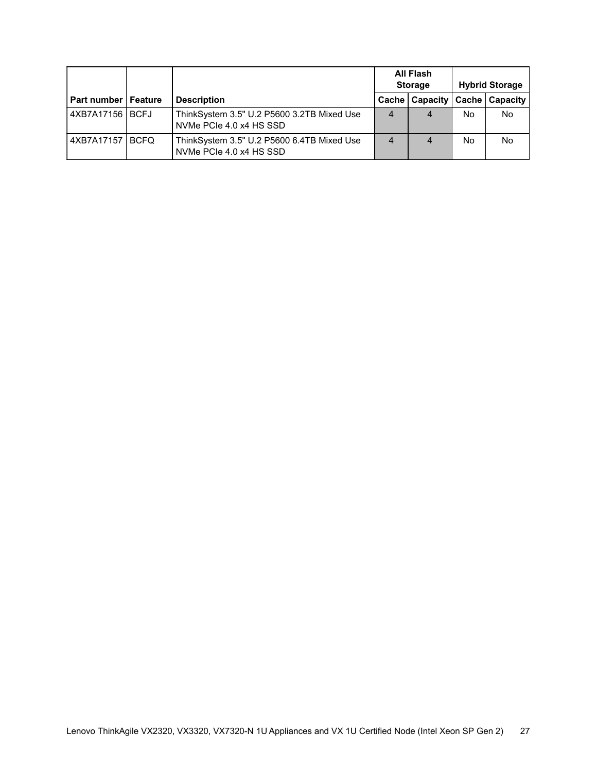|                              |                                                                       | <b>All Flash</b><br><b>Storage</b> |                 | <b>Hybrid Storage</b> |                       |
|------------------------------|-----------------------------------------------------------------------|------------------------------------|-----------------|-----------------------|-----------------------|
| <b>Part number   Feature</b> | <b>Description</b>                                                    | <b>Cache</b>                       | <b>Capacity</b> |                       | <b>Cache Capacity</b> |
| 4XB7A17156 BCFJ              | ThinkSystem 3.5" U.2 P5600 3.2TB Mixed Use<br>NVMe PCIe 4.0 x4 HS SSD | 4                                  | 4               | No                    | No.                   |
| 4XB7A17157 BCFQ              | ThinkSystem 3.5" U.2 P5600 6.4TB Mixed Use<br>NVMe PCIe 4.0 x4 HS SSD | 4                                  | 4               | No                    | No.                   |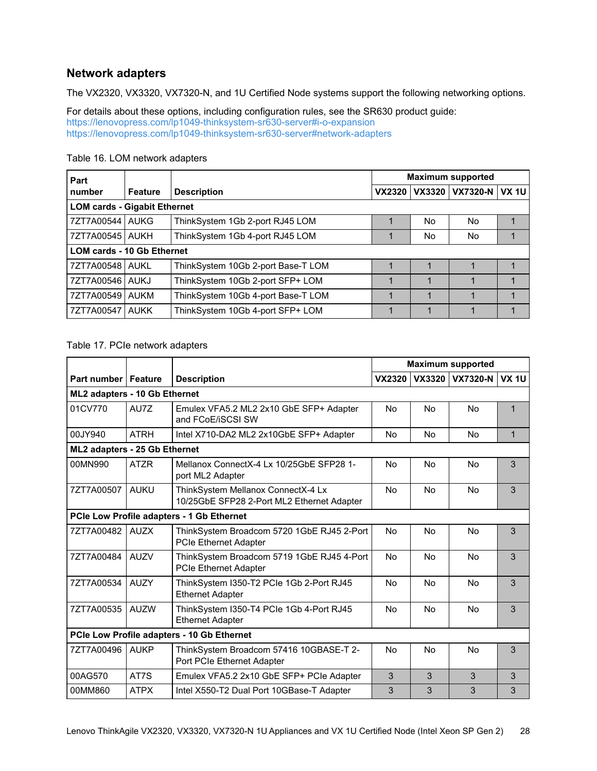### **Network adapters**

The VX2320, VX3320, VX7320-N, and 1U Certified Node systems support the following networking options.

For details about these options, including configuration rules, see the SR630 product guide: <https://lenovopress.com/lp1049-thinksystem-sr630-server#i-o-expansion> <https://lenovopress.com/lp1049-thinksystem-sr630-server#network-adapters>

| Part                              |                                     |                                    | <b>Maximum supported</b> |        |                |   |  |  |  |
|-----------------------------------|-------------------------------------|------------------------------------|--------------------------|--------|----------------|---|--|--|--|
| number                            | <b>Feature</b>                      | <b>Description</b>                 | <b>VX2320</b>            | VX3320 | VX7320-N VX 1U |   |  |  |  |
|                                   | <b>LOM cards - Gigabit Ethernet</b> |                                    |                          |        |                |   |  |  |  |
| 7ZT7A00544 AUKG                   |                                     | ThinkSystem 1Gb 2-port RJ45 LOM    |                          | No     | No.            |   |  |  |  |
| 7ZT7A00545   AUKH                 |                                     | ThinkSystem 1Gb 4-port RJ45 LOM    |                          | No     | No.            |   |  |  |  |
| <b>LOM cards - 10 Gb Ethernet</b> |                                     |                                    |                          |        |                |   |  |  |  |
| 7ZT7A00548 AUKL                   |                                     | ThinkSystem 10Gb 2-port Base-T LOM |                          |        |                |   |  |  |  |
| 7ZT7A00546 AUKJ                   |                                     | ThinkSystem 10Gb 2-port SFP+ LOM   |                          |        |                |   |  |  |  |
| 7ZT7A00549 AUKM                   |                                     | ThinkSystem 10Gb 4-port Base-T LOM |                          |        |                | 1 |  |  |  |
| 7ZT7A00547   AUKK                 |                                     | ThinkSystem 10Gb 4-port SFP+ LOM   |                          |        |                |   |  |  |  |

### Table 16. LOM network adapters

### Table 17. PCIe network adapters

|                               |             |                                                                                  | <b>Maximum supported</b> |                |                 |              |
|-------------------------------|-------------|----------------------------------------------------------------------------------|--------------------------|----------------|-----------------|--------------|
| <b>Part number   Feature</b>  |             | <b>Description</b>                                                               | <b>VX2320</b>            |                | VX3320 VX7320-N | <b>VX 1U</b> |
| ML2 adapters - 10 Gb Ethernet |             |                                                                                  |                          |                |                 |              |
| 01CV770                       | AU7Z        | Emulex VFA5.2 ML2 2x10 GbE SFP+ Adapter<br>and FCoE/iSCSI SW                     | No                       | No             | No              | 1            |
| 00JY940                       | <b>ATRH</b> | Intel X710-DA2 ML2 2x10GbE SFP+ Adapter                                          | No                       | No.            | No              | 1            |
| ML2 adapters - 25 Gb Ethernet |             |                                                                                  |                          |                |                 |              |
| 00MN990                       | <b>ATZR</b> | Mellanox ConnectX-4 Lx 10/25GbE SFP28 1-<br>port ML2 Adapter                     | No                       | No             | No              | 3            |
| 7ZT7A00507                    | <b>AUKU</b> | ThinkSystem Mellanox ConnectX-4 Lx<br>10/25GbE SFP28 2-Port ML2 Ethernet Adapter | No                       | <b>No</b>      | <b>No</b>       | 3            |
|                               |             | PCIe Low Profile adapters - 1 Gb Ethernet                                        |                          |                |                 |              |
| 7ZT7A00482                    | <b>AUZX</b> | ThinkSystem Broadcom 5720 1GbE RJ45 2-Port<br><b>PCIe Ethernet Adapter</b>       | No                       | <b>No</b>      | No              | 3            |
| 7ZT7A00484                    | <b>AUZV</b> | ThinkSystem Broadcom 5719 1GbE RJ45 4-Port<br><b>PCIe Ethernet Adapter</b>       | No                       | <b>No</b>      | <b>No</b>       | 3            |
| 7ZT7A00534                    | <b>AUZY</b> | ThinkSystem I350-T2 PCIe 1Gb 2-Port RJ45<br><b>Ethernet Adapter</b>              | No                       | N <sub>0</sub> | N <sub>0</sub>  | 3            |
| 7ZT7A00535                    | <b>AUZW</b> | ThinkSystem I350-T4 PCIe 1Gb 4-Port RJ45<br><b>Ethernet Adapter</b>              | No                       | <b>No</b>      | <b>No</b>       | 3            |
|                               |             | PCIe Low Profile adapters - 10 Gb Ethernet                                       |                          |                |                 |              |
| 7ZT7A00496                    | <b>AUKP</b> | ThinkSystem Broadcom 57416 10GBASE-T 2-<br>Port PCIe Ethernet Adapter            | No                       | No             | <b>No</b>       | 3            |
| 00AG570                       | AT7S        | Emulex VFA5.2 2x10 GbE SFP+ PCle Adapter                                         | 3                        | 3              | 3               | 3            |
| 00MM860                       | <b>ATPX</b> | Intel X550-T2 Dual Port 10GBase-T Adapter                                        | 3                        | 3              | 3               | 3            |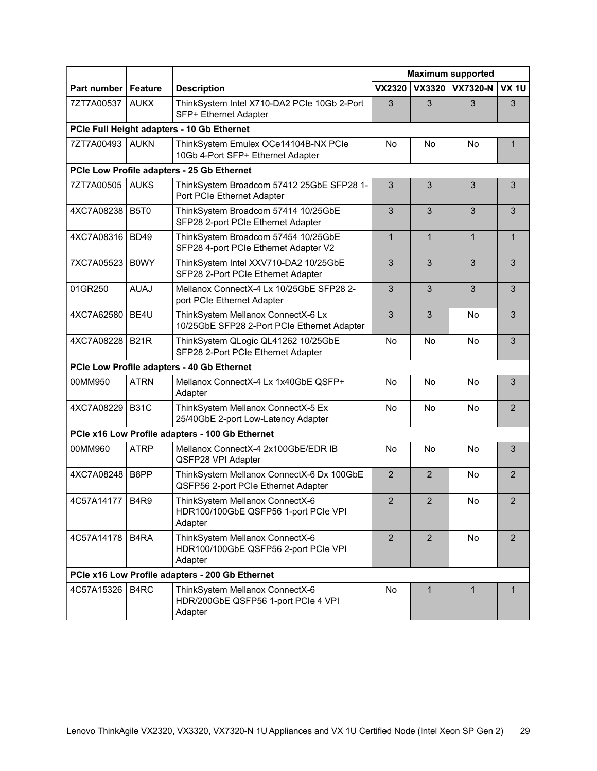|                 |                                            |                                                                                    | <b>Maximum supported</b> |                |                 |                |  |  |  |
|-----------------|--------------------------------------------|------------------------------------------------------------------------------------|--------------------------|----------------|-----------------|----------------|--|--|--|
| Part number     | Feature                                    | <b>Description</b>                                                                 | <b>VX2320</b>            | VX3320         | <b>VX7320-N</b> | <b>VX 1U</b>   |  |  |  |
| 7ZT7A00537      | <b>AUKX</b>                                | ThinkSystem Intel X710-DA2 PCIe 10Gb 2-Port<br>SFP+ Ethernet Adapter               | 3                        | 3              | 3               | 3              |  |  |  |
|                 | PCIe Full Height adapters - 10 Gb Ethernet |                                                                                    |                          |                |                 |                |  |  |  |
| 7ZT7A00493      | <b>AUKN</b>                                | ThinkSystem Emulex OCe14104B-NX PCle<br>10Gb 4-Port SFP+ Ethernet Adapter          | No                       | No             | <b>No</b>       | 1              |  |  |  |
|                 |                                            | PCIe Low Profile adapters - 25 Gb Ethernet                                         |                          |                |                 |                |  |  |  |
| 7ZT7A00505      | <b>AUKS</b>                                | ThinkSystem Broadcom 57412 25GbE SFP28 1-<br>Port PCIe Ethernet Adapter            | 3                        | 3              | 3               | 3              |  |  |  |
| 4XC7A08238 B5T0 |                                            | ThinkSystem Broadcom 57414 10/25GbE<br>SFP28 2-port PCIe Ethernet Adapter          | $\overline{3}$           | 3              | 3               | 3              |  |  |  |
| 4XC7A08316      | <b>BD49</b>                                | ThinkSystem Broadcom 57454 10/25GbE<br>SFP28 4-port PCIe Ethernet Adapter V2       | $\mathbf{1}$             | $\mathbf{1}$   | $\mathbf{1}$    | $\mathbf 1$    |  |  |  |
| 7XC7A05523      | <b>BOWY</b>                                | ThinkSystem Intel XXV710-DA2 10/25GbE<br>SFP28 2-Port PCIe Ethernet Adapter        | 3                        | 3              | 3               | 3              |  |  |  |
| 01GR250         | <b>AUAJ</b>                                | Mellanox ConnectX-4 Lx 10/25GbE SFP28 2-<br>port PCIe Ethernet Adapter             | 3                        | 3              | 3               | 3              |  |  |  |
| 4XC7A62580 BE4U |                                            | ThinkSystem Mellanox ConnectX-6 Lx<br>10/25GbE SFP28 2-Port PCIe Ethernet Adapter  | $\overline{3}$           | 3              | <b>No</b>       | 3              |  |  |  |
| 4XC7A08228      | <b>B21R</b>                                | ThinkSystem QLogic QL41262 10/25GbE<br>SFP28 2-Port PCIe Ethernet Adapter          | No                       | <b>No</b>      | <b>No</b>       | 3              |  |  |  |
|                 |                                            | PCIe Low Profile adapters - 40 Gb Ethernet                                         |                          |                |                 |                |  |  |  |
| 00MM950         | <b>ATRN</b>                                | Mellanox ConnectX-4 Lx 1x40GbE QSFP+<br>Adapter                                    | No                       | <b>No</b>      | <b>No</b>       | 3              |  |  |  |
| 4XC7A08229 B31C |                                            | ThinkSystem Mellanox ConnectX-5 Ex<br>25/40GbE 2-port Low-Latency Adapter          | No                       | No             | No              | $\overline{2}$ |  |  |  |
|                 |                                            | PCIe x16 Low Profile adapters - 100 Gb Ethernet                                    |                          |                |                 |                |  |  |  |
| 00MM960         | <b>ATRP</b>                                | Mellanox ConnectX-4 2x100GbE/EDR IB<br>QSFP28 VPI Adapter                          | No                       | <b>No</b>      | <b>No</b>       | 3              |  |  |  |
| 4XC7A08248 B8PP |                                            | ThinkSystem Mellanox ConnectX-6 Dx 100GbE<br>QSFP56 2-port PCIe Ethernet Adapter   | $\overline{2}$           | $\overline{2}$ | No              | $\overline{2}$ |  |  |  |
| 4C57A14177 B4R9 |                                            | ThinkSystem Mellanox ConnectX-6<br>HDR100/100GbE QSFP56 1-port PCIe VPI<br>Adapter | $\overline{2}$           | $\mathfrak{p}$ | No              | $\mathcal{P}$  |  |  |  |
| 4C57A14178      | B <sub>4</sub> RA                          | ThinkSystem Mellanox ConnectX-6<br>HDR100/100GbE QSFP56 2-port PCIe VPI<br>Adapter | $\overline{2}$           | $\overline{2}$ | No              | 2              |  |  |  |
|                 |                                            | PCIe x16 Low Profile adapters - 200 Gb Ethernet                                    |                          |                |                 |                |  |  |  |
| 4C57A15326      | B4RC                                       | ThinkSystem Mellanox ConnectX-6<br>HDR/200GbE QSFP56 1-port PCIe 4 VPI<br>Adapter  | No                       | $\mathbf{1}$   | $\mathbf{1}$    | 1              |  |  |  |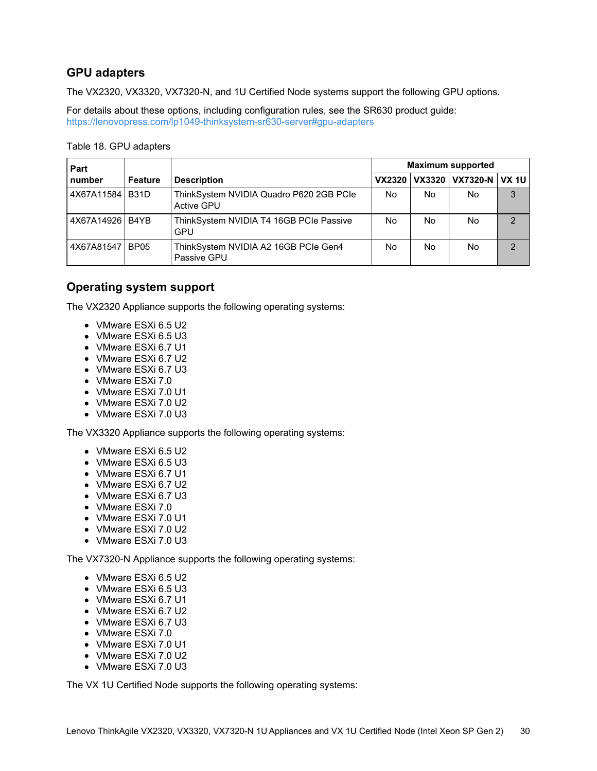## **GPU adapters**

The VX2320, VX3320, VX7320-N, and 1U Certified Node systems support the following GPU options.

For details about these options, including configuration rules, see the SR630 product guide: <https://lenovopress.com/lp1049-thinksystem-sr630-server#gpu-adapters>

Table 18. GPU adapters

| Part<br>number  |                |                                                       | <b>Maximum supported</b> |     |                              |               |
|-----------------|----------------|-------------------------------------------------------|--------------------------|-----|------------------------------|---------------|
|                 | <b>Feature</b> | <b>Description</b>                                    |                          |     | VX2320 VX3320 VX7320-N VX 1U |               |
| 4X67A11584 B31D |                | ThinkSystem NVIDIA Quadro P620 2GB PCIe<br>Active GPU | No                       | No. | No.                          | 3             |
| 4X67A14926 B4YB |                | ThinkSystem NVIDIA T4 16GB PCIe Passive<br>GPU        | No                       | No  | No.                          | $\mathcal{P}$ |
| 4X67A81547 BP05 |                | ThinkSystem NVIDIA A2 16GB PCIe Gen4<br>Passive GPU   | No                       | No  | No.                          | $\mathcal{D}$ |

## <span id="page-29-0"></span>**Operating system support**

The VX2320 Appliance supports the following operating systems:

- VMware ESXi 6.5 U2
- VMware ESXi 6.5 U3
- VMware ESXi 6.7 U1
- VMware ESXi 6.7 U2
- VMware ESXi 6.7 U3
- VMware ESXi 7.0
- VMware ESXi 7.0 U1
- VMware ESXi 7.0 U2
- VMware ESXi 7.0 U3

The VX3320 Appliance supports the following operating systems:

- VMware ESXi 6.5 U2
- VMware ESXi 6.5 U3
- VMware ESXi 6.7 U1
- VMware ESXi 6.7 U2
- VMware ESXi 6.7 U3
- VMware ESXi 7.0
- VMware ESXi 7.0 U1
- VMware ESXi 7.0 U2
- VMware ESXi 7.0 U3

The VX7320-N Appliance supports the following operating systems:

- VMware ESXi 6.5 U2
- VMware ESXi 6.5 U3
- VMware ESXi 6.7 U1
- VMware ESXi 6.7 U2
- VMware ESXi 6.7 U3
- VMware ESXi 7.0
- VMware ESXi 7.0 U1
- VMware ESXi 7.0 U2
- VMware ESXi 7.0 U3

The VX 1U Certified Node supports the following operating systems: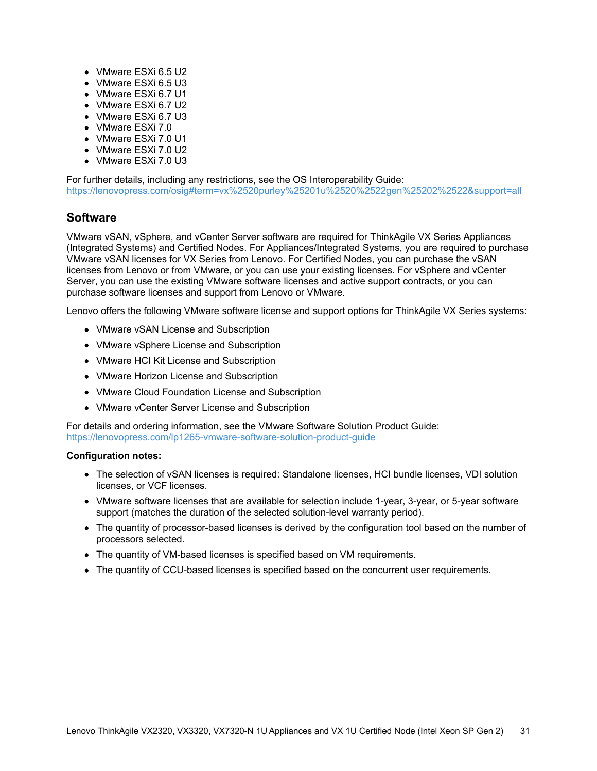- VMware ESXi 6.5 U2
- VMware ESXi 6.5 U3
- VMware ESXi 6.7 U1
- VMware ESXi 6.7 U2
- VMware ESXi 6.7 U3
- VMware ESXi 7.0
- VMware ESXi 7.0 U1
- VMware ESXi 7.0 U2
- VMware ESXi 7.0 U3

For further details, including any restrictions, see the OS Interoperability Guide: <https://lenovopress.com/osig#term=vx%2520purley%25201u%2520%2522gen%25202%2522&support=all>

## **Software**

VMware vSAN, vSphere, and vCenter Server software are required for ThinkAgile VX Series Appliances (Integrated Systems) and Certified Nodes. For Appliances/Integrated Systems, you are required to purchase VMware vSAN licenses for VX Series from Lenovo. For Certified Nodes, you can purchase the vSAN licenses from Lenovo or from VMware, or you can use your existing licenses. For vSphere and vCenter Server, you can use the existing VMware software licenses and active support contracts, or you can purchase software licenses and support from Lenovo or VMware.

Lenovo offers the following VMware software license and support options for ThinkAgile VX Series systems:

- VMware vSAN License and Subscription
- VMware vSphere License and Subscription
- VMware HCI Kit License and Subscription
- VMware Horizon License and Subscription
- VMware Cloud Foundation License and Subscription
- VMware vCenter Server License and Subscription

For details and ordering information, see the VMware Software Solution Product Guide: <https://lenovopress.com/lp1265-vmware-software-solution-product-guide>

#### **Configuration notes:**

- The selection of vSAN licenses is required: Standalone licenses, HCI bundle licenses, VDI solution licenses, or VCF licenses.
- VMware software licenses that are available for selection include 1-year, 3-year, or 5-year software support (matches the duration of the selected solution-level warranty period).
- The quantity of processor-based licenses is derived by the configuration tool based on the number of processors selected.
- The quantity of VM-based licenses is specified based on VM requirements.
- The quantity of CCU-based licenses is specified based on the concurrent user requirements.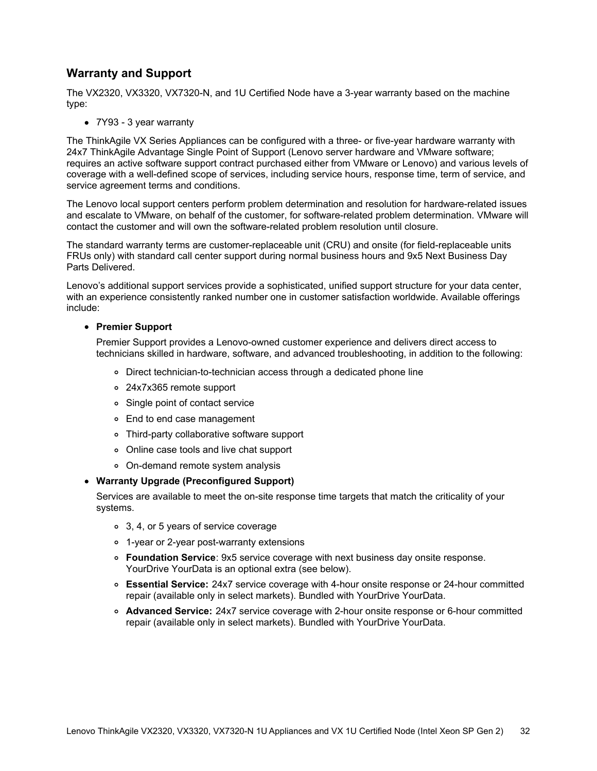### **Warranty and Support**

The VX2320, VX3320, VX7320-N, and 1U Certified Node have a 3-year warranty based on the machine type:

7Y93 - 3 year warranty

The ThinkAgile VX Series Appliances can be configured with a three- or five-year hardware warranty with 24x7 ThinkAgile Advantage Single Point of Support (Lenovo server hardware and VMware software; requires an active software support contract purchased either from VMware or Lenovo) and various levels of coverage with a well-defined scope of services, including service hours, response time, term of service, and service agreement terms and conditions.

The Lenovo local support centers perform problem determination and resolution for hardware-related issues and escalate to VMware, on behalf of the customer, for software-related problem determination. VMware will contact the customer and will own the software-related problem resolution until closure.

The standard warranty terms are customer-replaceable unit (CRU) and onsite (for field-replaceable units FRUs only) with standard call center support during normal business hours and 9x5 Next Business Day Parts Delivered.

Lenovo's additional support services provide a sophisticated, unified support structure for your data center, with an experience consistently ranked number one in customer satisfaction worldwide. Available offerings include:

#### **Premier Support**

Premier Support provides a Lenovo-owned customer experience and delivers direct access to technicians skilled in hardware, software, and advanced troubleshooting, in addition to the following:

- Direct technician-to-technician access through a dedicated phone line
- 24x7x365 remote support
- Single point of contact service
- End to end case management
- Third-party collaborative software support
- Online case tools and live chat support
- On-demand remote system analysis

#### **Warranty Upgrade (Preconfigured Support)**

Services are available to meet the on-site response time targets that match the criticality of your systems.

- 3, 4, or 5 years of service coverage
- 1-year or 2-year post-warranty extensions
- **Foundation Service**: 9x5 service coverage with next business day onsite response. YourDrive YourData is an optional extra (see below).
- **Essential Service:** 24x7 service coverage with 4-hour onsite response or 24-hour committed repair (available only in select markets). Bundled with YourDrive YourData.
- **Advanced Service:** 24x7 service coverage with 2-hour onsite response or 6-hour committed repair (available only in select markets). Bundled with YourDrive YourData.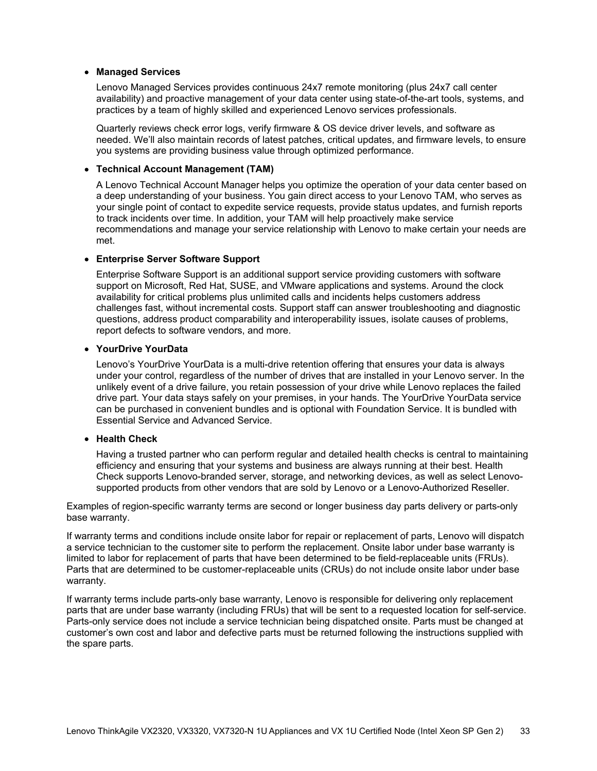#### **Managed Services**

Lenovo Managed Services provides continuous 24x7 remote monitoring (plus 24x7 call center availability) and proactive management of your data center using state-of-the-art tools, systems, and practices by a team of highly skilled and experienced Lenovo services professionals.

Quarterly reviews check error logs, verify firmware & OS device driver levels, and software as needed. We'll also maintain records of latest patches, critical updates, and firmware levels, to ensure you systems are providing business value through optimized performance.

#### **Technical Account Management (TAM)**

A Lenovo Technical Account Manager helps you optimize the operation of your data center based on a deep understanding of your business. You gain direct access to your Lenovo TAM, who serves as your single point of contact to expedite service requests, provide status updates, and furnish reports to track incidents over time. In addition, your TAM will help proactively make service recommendations and manage your service relationship with Lenovo to make certain your needs are met.

#### **Enterprise Server Software Support**

Enterprise Software Support is an additional support service providing customers with software support on Microsoft, Red Hat, SUSE, and VMware applications and systems. Around the clock availability for critical problems plus unlimited calls and incidents helps customers address challenges fast, without incremental costs. Support staff can answer troubleshooting and diagnostic questions, address product comparability and interoperability issues, isolate causes of problems, report defects to software vendors, and more.

#### **YourDrive YourData**

Lenovo's YourDrive YourData is a multi-drive retention offering that ensures your data is always under your control, regardless of the number of drives that are installed in your Lenovo server. In the unlikely event of a drive failure, you retain possession of your drive while Lenovo replaces the failed drive part. Your data stays safely on your premises, in your hands. The YourDrive YourData service can be purchased in convenient bundles and is optional with Foundation Service. It is bundled with Essential Service and Advanced Service.

### **Health Check**

Having a trusted partner who can perform regular and detailed health checks is central to maintaining efficiency and ensuring that your systems and business are always running at their best. Health Check supports Lenovo-branded server, storage, and networking devices, as well as select Lenovosupported products from other vendors that are sold by Lenovo or a Lenovo-Authorized Reseller.

Examples of region-specific warranty terms are second or longer business day parts delivery or parts-only base warranty.

If warranty terms and conditions include onsite labor for repair or replacement of parts, Lenovo will dispatch a service technician to the customer site to perform the replacement. Onsite labor under base warranty is limited to labor for replacement of parts that have been determined to be field-replaceable units (FRUs). Parts that are determined to be customer-replaceable units (CRUs) do not include onsite labor under base warranty.

If warranty terms include parts-only base warranty, Lenovo is responsible for delivering only replacement parts that are under base warranty (including FRUs) that will be sent to a requested location for self-service. Parts-only service does not include a service technician being dispatched onsite. Parts must be changed at customer's own cost and labor and defective parts must be returned following the instructions supplied with the spare parts.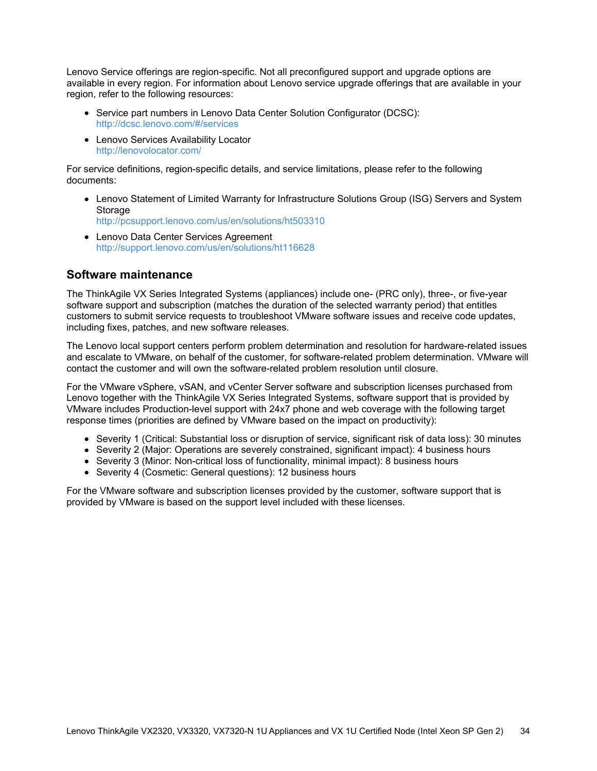Lenovo Service offerings are region-specific. Not all preconfigured support and upgrade options are available in every region. For information about Lenovo service upgrade offerings that are available in your region, refer to the following resources:

- Service part numbers in Lenovo Data Center Solution Configurator (DCSC): <http://dcsc.lenovo.com/#/services>
- Lenovo Services Availability Locator <http://lenovolocator.com/>

For service definitions, region-specific details, and service limitations, please refer to the following documents:

- Lenovo Statement of Limited Warranty for Infrastructure Solutions Group (ISG) Servers and System Storage <http://pcsupport.lenovo.com/us/en/solutions/ht503310>
- Lenovo Data Center Services Agreement <http://support.lenovo.com/us/en/solutions/ht116628>

### **Software maintenance**

The ThinkAgile VX Series Integrated Systems (appliances) include one- (PRC only), three-, or five-year software support and subscription (matches the duration of the selected warranty period) that entitles customers to submit service requests to troubleshoot VMware software issues and receive code updates, including fixes, patches, and new software releases.

The Lenovo local support centers perform problem determination and resolution for hardware-related issues and escalate to VMware, on behalf of the customer, for software-related problem determination. VMware will contact the customer and will own the software-related problem resolution until closure.

For the VMware vSphere, vSAN, and vCenter Server software and subscription licenses purchased from Lenovo together with the ThinkAgile VX Series Integrated Systems, software support that is provided by VMware includes Production-level support with 24x7 phone and web coverage with the following target response times (priorities are defined by VMware based on the impact on productivity):

- Severity 1 (Critical: Substantial loss or disruption of service, significant risk of data loss): 30 minutes
- Severity 2 (Major: Operations are severely constrained, significant impact): 4 business hours
- Severity 3 (Minor: Non-critical loss of functionality, minimal impact): 8 business hours
- Severity 4 (Cosmetic: General questions): 12 business hours

For the VMware software and subscription licenses provided by the customer, software support that is provided by VMware is based on the support level included with these licenses.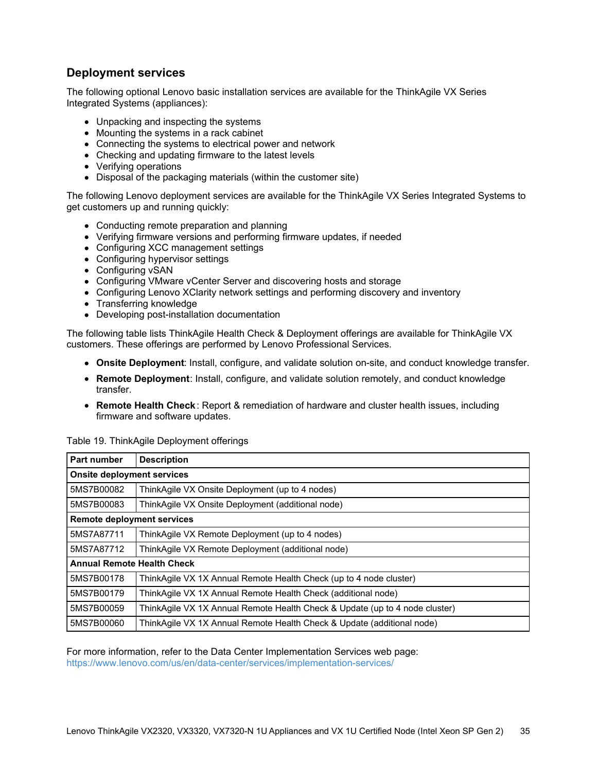## **Deployment services**

The following optional Lenovo basic installation services are available for the ThinkAgile VX Series Integrated Systems (appliances):

- Unpacking and inspecting the systems
- Mounting the systems in a rack cabinet
- Connecting the systems to electrical power and network
- Checking and updating firmware to the latest levels
- Verifying operations
- Disposal of the packaging materials (within the customer site)

The following Lenovo deployment services are available for the ThinkAgile VX Series Integrated Systems to get customers up and running quickly:

- Conducting remote preparation and planning
- Verifying firmware versions and performing firmware updates, if needed
- Configuring XCC management settings
- Configuring hypervisor settings
- Configuring vSAN
- Configuring VMware vCenter Server and discovering hosts and storage
- Configuring Lenovo XClarity network settings and performing discovery and inventory
- Transferring knowledge
- Developing post-installation documentation

The following table lists ThinkAgile Health Check & Deployment offerings are available for ThinkAgile VX customers. These offerings are performed by Lenovo Professional Services.

- **Onsite Deployment**: Install, configure, and validate solution on-site, and conduct knowledge transfer.
- **Remote Deployment**: Install, configure, and validate solution remotely, and conduct knowledge transfer.
- **Remote Health Check**: Report & remediation of hardware and cluster health issues, including firmware and software updates.

| <b>Part number</b>                | <b>Description</b>                                                          |  |  |  |
|-----------------------------------|-----------------------------------------------------------------------------|--|--|--|
| <b>Onsite deployment services</b> |                                                                             |  |  |  |
| 5MS7B00082                        | ThinkAgile VX Onsite Deployment (up to 4 nodes)                             |  |  |  |
| 5MS7B00083                        | ThinkAgile VX Onsite Deployment (additional node)                           |  |  |  |
| <b>Remote deployment services</b> |                                                                             |  |  |  |
| 5MS7A87711                        | ThinkAgile VX Remote Deployment (up to 4 nodes)                             |  |  |  |
| 5MS7A87712                        | ThinkAgile VX Remote Deployment (additional node)                           |  |  |  |
| <b>Annual Remote Health Check</b> |                                                                             |  |  |  |
| 5MS7B00178                        | ThinkAgile VX 1X Annual Remote Health Check (up to 4 node cluster)          |  |  |  |
| 5MS7B00179                        | ThinkAgile VX 1X Annual Remote Health Check (additional node)               |  |  |  |
| 5MS7B00059                        | ThinkAgile VX 1X Annual Remote Health Check & Update (up to 4 node cluster) |  |  |  |
| 5MS7B00060                        | ThinkAgile VX 1X Annual Remote Health Check & Update (additional node)      |  |  |  |

Table 19. ThinkAgile Deployment offerings

For more information, refer to the Data Center Implementation Services web page:

<https://www.lenovo.com/us/en/data-center/services/implementation-services/>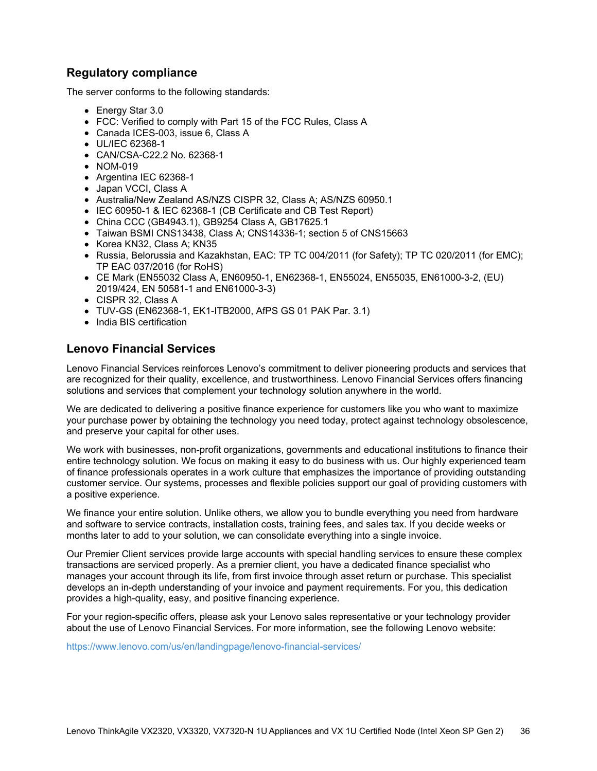### **Regulatory compliance**

The server conforms to the following standards:

- Energy Star 3.0
- FCC: Verified to comply with Part 15 of the FCC Rules, Class A
- Canada ICES-003, issue 6, Class A
- UL/IEC 62368-1
- CAN/CSA-C22.2 No. 62368-1
- NOM-019
- Argentina IEC 62368-1
- Japan VCCI, Class A
- Australia/New Zealand AS/NZS CISPR 32, Class A; AS/NZS 60950.1
- IEC 60950-1 & IEC 62368-1 (CB Certificate and CB Test Report)
- China CCC (GB4943.1), GB9254 Class A, GB17625.1
- Taiwan BSMI CNS13438, Class A; CNS14336-1; section 5 of CNS15663
- Korea KN32, Class A: KN35
- Russia, Belorussia and Kazakhstan, EAC: TP TC 004/2011 (for Safety); TP TC 020/2011 (for EMC); TP EAC 037/2016 (for RoHS)
- CE Mark (EN55032 Class A, EN60950-1, EN62368-1, EN55024, EN55035, EN61000-3-2, (EU) 2019/424, EN 50581-1 and EN61000-3-3)
- CISPR 32, Class A
- TUV-GS (EN62368-1, EK1-ITB2000, AfPS GS 01 PAK Par. 3.1)
- India BIS certification

### **Lenovo Financial Services**

Lenovo Financial Services reinforces Lenovo's commitment to deliver pioneering products and services that are recognized for their quality, excellence, and trustworthiness. Lenovo Financial Services offers financing solutions and services that complement your technology solution anywhere in the world.

We are dedicated to delivering a positive finance experience for customers like you who want to maximize your purchase power by obtaining the technology you need today, protect against technology obsolescence, and preserve your capital for other uses.

We work with businesses, non-profit organizations, governments and educational institutions to finance their entire technology solution. We focus on making it easy to do business with us. Our highly experienced team of finance professionals operates in a work culture that emphasizes the importance of providing outstanding customer service. Our systems, processes and flexible policies support our goal of providing customers with a positive experience.

We finance your entire solution. Unlike others, we allow you to bundle everything you need from hardware and software to service contracts, installation costs, training fees, and sales tax. If you decide weeks or months later to add to your solution, we can consolidate everything into a single invoice.

Our Premier Client services provide large accounts with special handling services to ensure these complex transactions are serviced properly. As a premier client, you have a dedicated finance specialist who manages your account through its life, from first invoice through asset return or purchase. This specialist develops an in-depth understanding of your invoice and payment requirements. For you, this dedication provides a high-quality, easy, and positive financing experience.

For your region-specific offers, please ask your Lenovo sales representative or your technology provider about the use of Lenovo Financial Services. For more information, see the following Lenovo website:

<https://www.lenovo.com/us/en/landingpage/lenovo-financial-services/>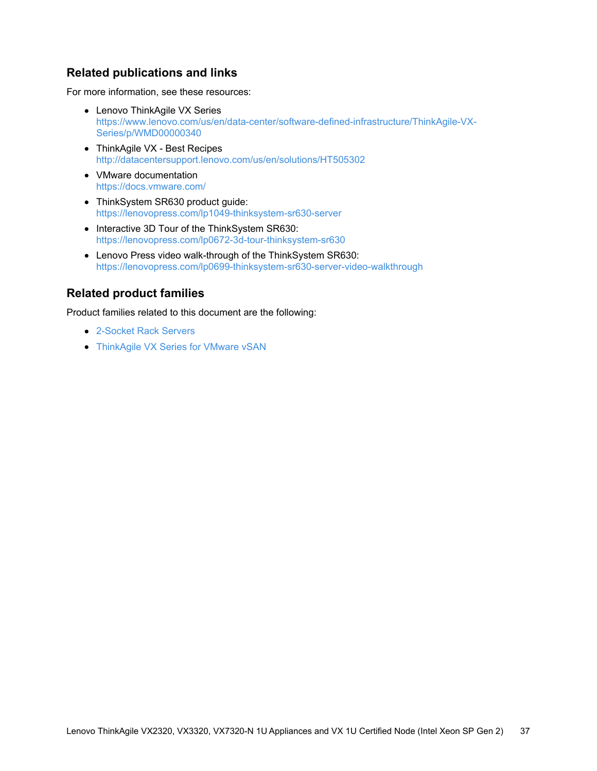## **Related publications and links**

For more information, see these resources:

- Lenovo ThinkAgile VX Series [https://www.lenovo.com/us/en/data-center/software-defined-infrastructure/ThinkAgile-VX-](https://www.lenovo.com/us/en/data-center/software-defined-infrastructure/ThinkAgile-VX-Series/p/WMD00000340)Series/p/WMD00000340
- ThinkAgile VX Best Recipes <http://datacentersupport.lenovo.com/us/en/solutions/HT505302>
- VMware documentation <https://docs.vmware.com/>
- ThinkSystem SR630 product guide: <https://lenovopress.com/lp1049-thinksystem-sr630-server>
- Interactive 3D Tour of the ThinkSystem SR630: <https://lenovopress.com/lp0672-3d-tour-thinksystem-sr630>
- Lenovo Press video walk-through of the ThinkSystem SR630: <https://lenovopress.com/lp0699-thinksystem-sr630-server-video-walkthrough>

### **Related product families**

Product families related to this document are the following:

- [2-Socket](https://lenovopress.lenovo.com/servers/racks/2s) Rack Servers
- [ThinkAgile](https://lenovopress.lenovo.com/servers/thinkagile/vx-series) VX Series for VMware vSAN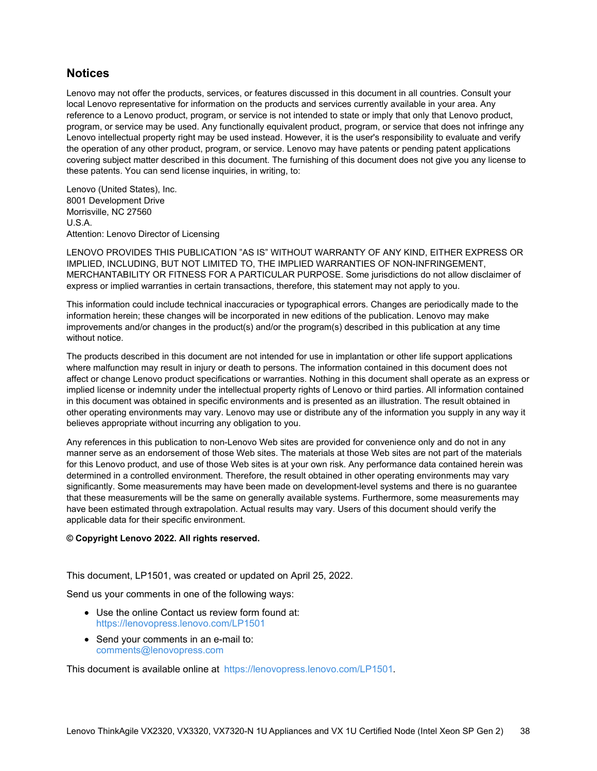### **Notices**

Lenovo may not offer the products, services, or features discussed in this document in all countries. Consult your local Lenovo representative for information on the products and services currently available in your area. Any reference to a Lenovo product, program, or service is not intended to state or imply that only that Lenovo product, program, or service may be used. Any functionally equivalent product, program, or service that does not infringe any Lenovo intellectual property right may be used instead. However, it is the user's responsibility to evaluate and verify the operation of any other product, program, or service. Lenovo may have patents or pending patent applications covering subject matter described in this document. The furnishing of this document does not give you any license to these patents. You can send license inquiries, in writing, to:

Lenovo (United States), Inc. 8001 Development Drive Morrisville, NC 27560 U.S.A. Attention: Lenovo Director of Licensing

LENOVO PROVIDES THIS PUBLICATION "AS IS" WITHOUT WARRANTY OF ANY KIND, EITHER EXPRESS OR IMPLIED, INCLUDING, BUT NOT LIMITED TO, THE IMPLIED WARRANTIES OF NON-INFRINGEMENT, MERCHANTABILITY OR FITNESS FOR A PARTICULAR PURPOSE. Some jurisdictions do not allow disclaimer of express or implied warranties in certain transactions, therefore, this statement may not apply to you.

This information could include technical inaccuracies or typographical errors. Changes are periodically made to the information herein; these changes will be incorporated in new editions of the publication. Lenovo may make improvements and/or changes in the product(s) and/or the program(s) described in this publication at any time without notice.

The products described in this document are not intended for use in implantation or other life support applications where malfunction may result in injury or death to persons. The information contained in this document does not affect or change Lenovo product specifications or warranties. Nothing in this document shall operate as an express or implied license or indemnity under the intellectual property rights of Lenovo or third parties. All information contained in this document was obtained in specific environments and is presented as an illustration. The result obtained in other operating environments may vary. Lenovo may use or distribute any of the information you supply in any way it believes appropriate without incurring any obligation to you.

Any references in this publication to non-Lenovo Web sites are provided for convenience only and do not in any manner serve as an endorsement of those Web sites. The materials at those Web sites are not part of the materials for this Lenovo product, and use of those Web sites is at your own risk. Any performance data contained herein was determined in a controlled environment. Therefore, the result obtained in other operating environments may vary significantly. Some measurements may have been made on development-level systems and there is no guarantee that these measurements will be the same on generally available systems. Furthermore, some measurements may have been estimated through extrapolation. Actual results may vary. Users of this document should verify the applicable data for their specific environment.

#### **© Copyright Lenovo 2022. All rights reserved.**

This document, LP1501, was created or updated on April 25, 2022.

Send us your comments in one of the following ways:

- Use the online Contact us review form found at: <https://lenovopress.lenovo.com/LP1501>
- Send your comments in an e-mail to: [comments@lenovopress.com](mailto:comments@lenovopress.com?subject=Feedback for LP1501)

This document is available online at <https://lenovopress.lenovo.com/LP1501>.